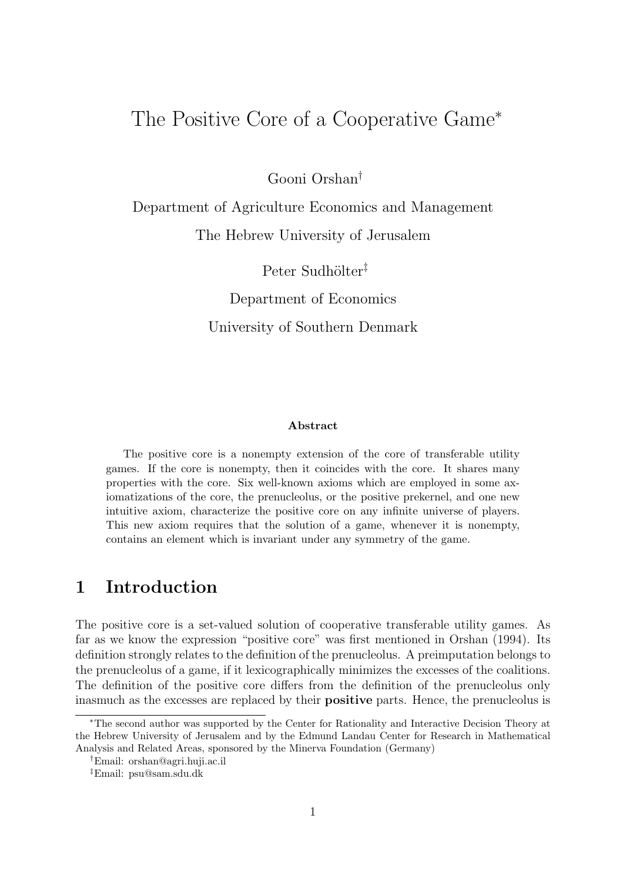# The Positive Core of a Cooperative Game<sup>∗</sup>

Gooni Orshan†

Department of Agriculture Economics and Management The Hebrew University of Jerusalem

> Peter Sudhölter<sup>‡</sup> Department of Economics University of Southern Denmark

#### **Abstract**

The positive core is a nonempty extension of the core of transferable utility games. If the core is nonempty, then it coincides with the core. It shares many properties with the core. Six well-known axioms which are employed in some axiomatizations of the core, the prenucleolus, or the positive prekernel, and one new intuitive axiom, characterize the positive core on any infinite universe of players. This new axiom requires that the solution of a game, whenever it is nonempty, contains an element which is invariant under any symmetry of the game.

# **1 Introduction**

The positive core is a set-valued solution of cooperative transferable utility games. As far as we know the expression "positive core" was first mentioned in Orshan (1994). Its definition strongly relates to the definition of the prenucleolus. A preimputation belongs to the prenucleolus of a game, if it lexicographically minimizes the excesses of the coalitions. The definition of the positive core differs from the definition of the prenucleolus only inasmuch as the excesses are replaced by their **positive** parts. Hence, the prenucleolus is

<sup>∗</sup>The second author was supported by the Center for Rationality and Interactive Decision Theory at the Hebrew University of Jerusalem and by the Edmund Landau Center for Research in Mathematical Analysis and Related Areas, sponsored by the Minerva Foundation (Germany)

<sup>†</sup>Email: orshan@agri.huji.ac.il

<sup>‡</sup>Email: psu@sam.sdu.dk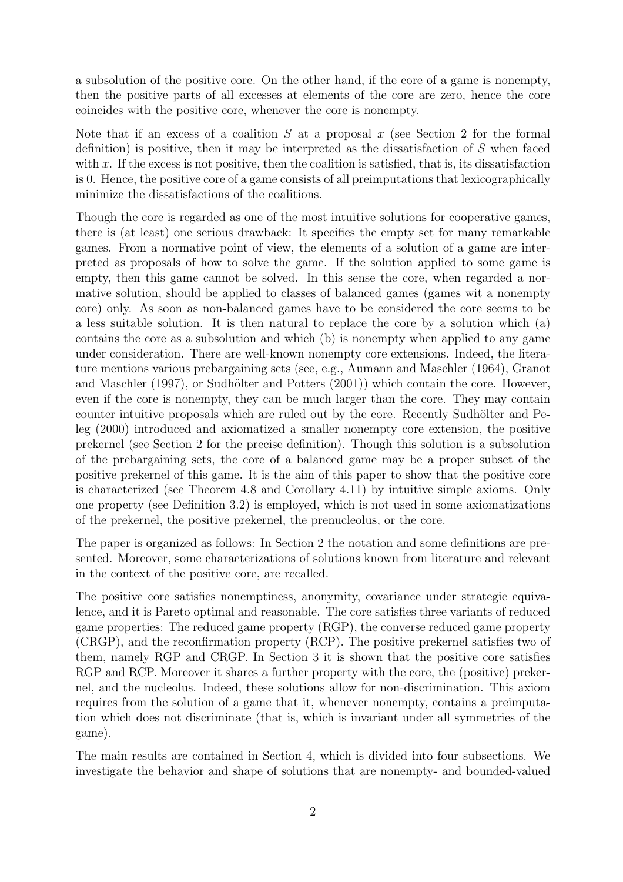a subsolution of the positive core. On the other hand, if the core of a game is nonempty, then the positive parts of all excesses at elements of the core are zero, hence the core coincides with the positive core, whenever the core is nonempty.

Note that if an excess of a coalition  $S$  at a proposal  $x$  (see Section 2 for the formal definition) is positive, then it may be interpreted as the dissatisfaction of S when faced with  $x$ . If the excess is not positive, then the coalition is satisfied, that is, its dissatisfaction is 0. Hence, the positive core of a game consists of all preimputations that lexicographically minimize the dissatisfactions of the coalitions.

Though the core is regarded as one of the most intuitive solutions for cooperative games, there is (at least) one serious drawback: It specifies the empty set for many remarkable games. From a normative point of view, the elements of a solution of a game are interpreted as proposals of how to solve the game. If the solution applied to some game is empty, then this game cannot be solved. In this sense the core, when regarded a normative solution, should be applied to classes of balanced games (games wit a nonempty core) only. As soon as non-balanced games have to be considered the core seems to be a less suitable solution. It is then natural to replace the core by a solution which (a) contains the core as a subsolution and which (b) is nonempty when applied to any game under consideration. There are well-known nonempty core extensions. Indeed, the literature mentions various prebargaining sets (see, e.g., Aumann and Maschler (1964), Granot and Maschler  $(1997)$ , or Sudhölter and Potters  $(2001)$ ) which contain the core. However, even if the core is nonempty, they can be much larger than the core. They may contain counter intuitive proposals which are ruled out by the core. Recently Sudhölter and Peleg (2000) introduced and axiomatized a smaller nonempty core extension, the positive prekernel (see Section 2 for the precise definition). Though this solution is a subsolution of the prebargaining sets, the core of a balanced game may be a proper subset of the positive prekernel of this game. It is the aim of this paper to show that the positive core is characterized (see Theorem 4.8 and Corollary 4.11) by intuitive simple axioms. Only one property (see Definition 3.2) is employed, which is not used in some axiomatizations of the prekernel, the positive prekernel, the prenucleolus, or the core.

The paper is organized as follows: In Section 2 the notation and some definitions are presented. Moreover, some characterizations of solutions known from literature and relevant in the context of the positive core, are recalled.

The positive core satisfies nonemptiness, anonymity, covariance under strategic equivalence, and it is Pareto optimal and reasonable. The core satisfies three variants of reduced game properties: The reduced game property (RGP), the converse reduced game property (CRGP), and the reconfirmation property (RCP). The positive prekernel satisfies two of them, namely RGP and CRGP. In Section 3 it is shown that the positive core satisfies RGP and RCP. Moreover it shares a further property with the core, the (positive) prekernel, and the nucleolus. Indeed, these solutions allow for non-discrimination. This axiom requires from the solution of a game that it, whenever nonempty, contains a preimputation which does not discriminate (that is, which is invariant under all symmetries of the game).

The main results are contained in Section 4, which is divided into four subsections. We investigate the behavior and shape of solutions that are nonempty- and bounded-valued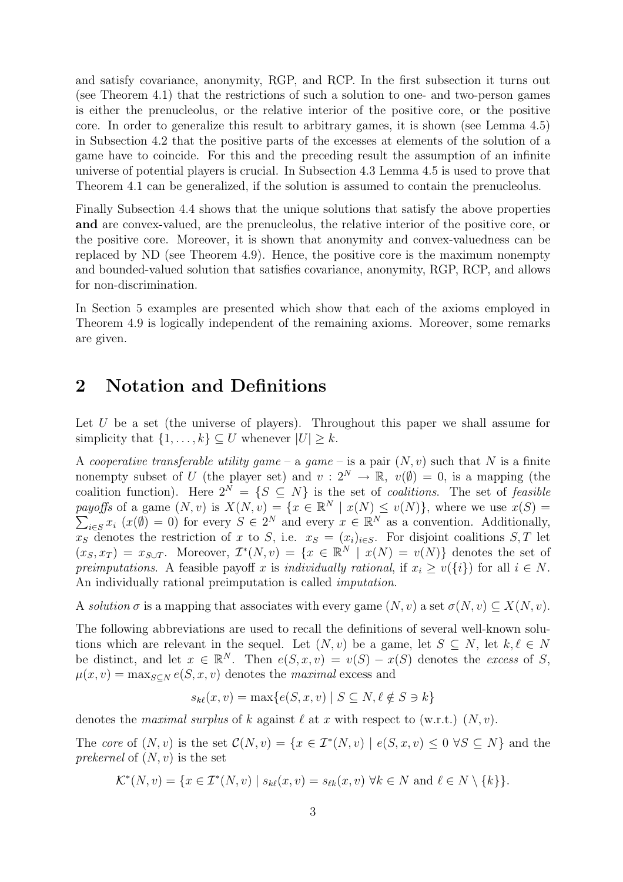and satisfy covariance, anonymity, RGP, and RCP. In the first subsection it turns out (see Theorem 4.1) that the restrictions of such a solution to one- and two-person games is either the prenucleolus, or the relative interior of the positive core, or the positive core. In order to generalize this result to arbitrary games, it is shown (see Lemma 4.5) in Subsection 4.2 that the positive parts of the excesses at elements of the solution of a game have to coincide. For this and the preceding result the assumption of an infinite universe of potential players is crucial. In Subsection 4.3 Lemma 4.5 is used to prove that Theorem 4.1 can be generalized, if the solution is assumed to contain the prenucleolus.

Finally Subsection 4.4 shows that the unique solutions that satisfy the above properties **and** are convex-valued, are the prenucleolus, the relative interior of the positive core, or the positive core. Moreover, it is shown that anonymity and convex-valuedness can be replaced by ND (see Theorem 4.9). Hence, the positive core is the maximum nonempty and bounded-valued solution that satisfies covariance, anonymity, RGP, RCP, and allows for non-discrimination.

In Section 5 examples are presented which show that each of the axioms employed in Theorem 4.9 is logically independent of the remaining axioms. Moreover, some remarks are given.

# **2 Notation and Definitions**

Let  $U$  be a set (the universe of players). Throughout this paper we shall assume for simplicity that  $\{1,\ldots,k\} \subseteq U$  whenever  $|U| \geq k$ .

A cooperative transferable utility game – a game – is a pair  $(N, v)$  such that N is a finite nonempty subset of U (the player set) and  $v : 2^N \to \mathbb{R}$ ,  $v(\emptyset) = 0$ , is a mapping (the coalition function). Here  $2^N = \{S \subseteq N\}$  is the set of *coalitions*. The set of *feasible* payoffs of a game  $(N, v)$  is  $X(N, v) = \{x \in \mathbb{R}^N \mid x(N) \le v(N)\}$ , where we use  $x(S) = \sum_{i \in S} x_i (x(\emptyset) = 0)$  for every  $S \in 2^N$  and every  $x \in \mathbb{R}^N$  as a convention. Additionally,  $i\in S$   $x_i$   $(x(\emptyset) = 0)$  for every  $S \in 2^N$  and every  $x \in \mathbb{R}^N$  as a convention. Additionally,<br>denotes the restriction of  $x$  to  $S$  i.e.  $x_i = (x_i)_{i \in S}$ . For disjoint coalitions  $S$   $T$  let  $x_S$  denotes the restriction of x to S, i.e.  $x_S = (x_i)_{i \in S}$ . For disjoint coalitions S, T let  $(x_S, x_T) = x_{S\cup T}$ . Moreover,  $\mathcal{I}^*(N, v) = \{x \in \mathbb{R}^N \mid x(N) = v(N)\}\$  denotes the set of preimputations. A feasible payoff x is individually rational, if  $x_i \geq v(\{i\})$  for all  $i \in N$ . An individually rational preimputation is called imputation.

A solution  $\sigma$  is a mapping that associates with every game  $(N, v)$  a set  $\sigma(N, v) \subseteq X(N, v)$ .

The following abbreviations are used to recall the definitions of several well-known solutions which are relevant in the sequel. Let  $(N, v)$  be a game, let  $S \subseteq N$ , let  $k, \ell \in N$ <br>be distinct and let  $x \in \mathbb{R}^N$ . Then  $e(S, x, v) = v(S) - x(S)$  denotes the excess of S be distinct, and let  $x \in \mathbb{R}^N$ . Then  $e(S, x, v) = v(S) - x(S)$  denotes the excess of S,  $\mu(x, v) = \max_{S \subset N} e(S, x, v)$  denotes the maximal excess and

$$
s_{k\ell}(x,v) = \max\{e(S,x,v) \mid S \subseteq N, \ell \notin S \ni k\}
$$

denotes the *maximal surplus* of k against  $\ell$  at x with respect to (w.r.t.)  $(N, v)$ .

The core of  $(N, v)$  is the set  $\mathcal{C}(N, v) = \{x \in \mathcal{I}^*(N, v) \mid e(S, x, v) \leq 0 \ \forall S \subseteq N\}$  and the prekernel of  $(N, v)$  is the set

$$
\mathcal{K}^*(N, v) = \{ x \in \mathcal{I}^*(N, v) \mid s_{k\ell}(x, v) = s_{\ell k}(x, v) \,\forall k \in N \text{ and } \ell \in N \setminus \{k\} \}.
$$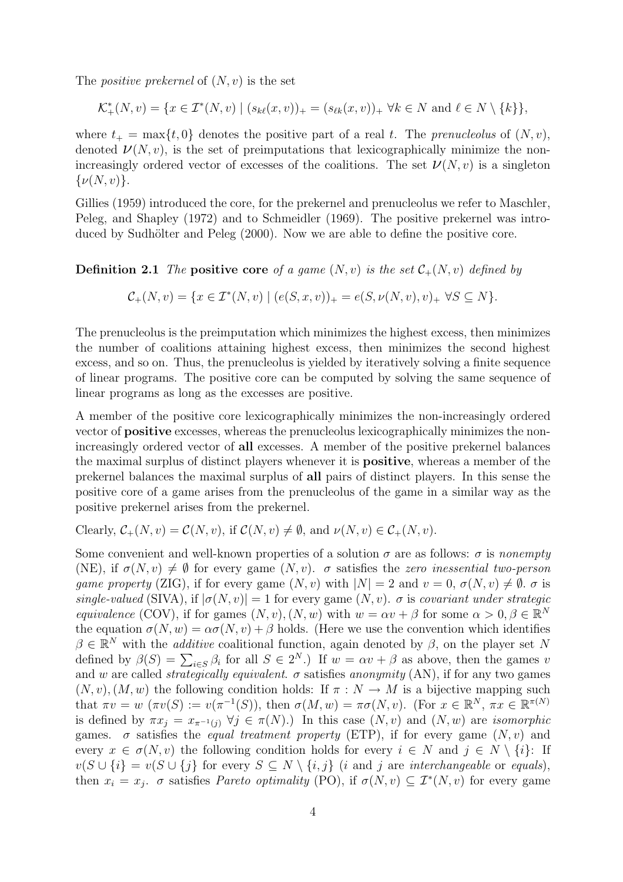The *positive prekernel* of  $(N, v)$  is the set

$$
\mathcal{K}_+^*(N, v) = \{ x \in \mathcal{I}^*(N, v) \mid (s_{k\ell}(x, v))_+ = (s_{\ell k}(x, v))_+ \ \forall k \in N \text{ and } \ell \in N \setminus \{k\} \},
$$

where  $t_+ = \max\{t, 0\}$  denotes the positive part of a real t. The *prenucleolus* of  $(N, v)$ , denoted  $\nu(N, v)$ , is the set of preimputations that lexicographically minimize the nondenoted  $\nu(N, v)$ , is the set of preimputations that lexicographically minimize the non-<br>increasingly ordered vector of excesses of the coalitions. The set  $\nu(N, v)$  is a singleton increasingly ordered vector of excesses of the coalitions. The set  $\nu(N, v)$  is a singleton  $\{\nu(N, v)\}.$  $\{\nu(N,v)\}.$ 

Gillies (1959) introduced the core, for the prekernel and prenucleolus we refer to Maschler, Peleg, and Shapley (1972) and to Schmeidler (1969). The positive prekernel was introduced by Sudhölter and Peleg (2000). Now we are able to define the positive core.

**Definition 2.1** The **positive core** of a game  $(N, v)$  is the set  $\mathcal{C}_+(N, v)$  defined by

$$
\mathcal{C}_+(N,v) = \{ x \in \mathcal{I}^*(N,v) \mid (e(S,x,v))_+ = e(S,\nu(N,v),v)_+ \; \forall S \subseteq N \}.
$$

The prenucleolus is the preimputation which minimizes the highest excess, then minimizes the number of coalitions attaining highest excess, then minimizes the second highest excess, and so on. Thus, the prenucleolus is yielded by iteratively solving a finite sequence of linear programs. The positive core can be computed by solving the same sequence of linear programs as long as the excesses are positive.

A member of the positive core lexicographically minimizes the non-increasingly ordered vector of **positive** excesses, whereas the prenucleolus lexicographically minimizes the nonincreasingly ordered vector of **all** excesses. A member of the positive prekernel balances the maximal surplus of distinct players whenever it is **positive**, whereas a member of the prekernel balances the maximal surplus of **all** pairs of distinct players. In this sense the positive core of a game arises from the prenucleolus of the game in a similar way as the positive prekernel arises from the prekernel.

Clearly,  $C_+(N, v) = C(N, v)$ , if  $C(N, v) \neq \emptyset$ , and  $\nu(N, v) \in C_+(N, v)$ .

Some convenient and well-known properties of a solution  $\sigma$  are as follows:  $\sigma$  is nonempty (NE), if  $\sigma(N, v) \neq \emptyset$  for every game  $(N, v)$ .  $\sigma$  satisfies the zero inessential two-person<br>game property (ZIC) if for every game  $(N, v)$  with  $|N| = 2$  and  $v = 0$ ,  $\sigma(N, v) \neq \emptyset$ ,  $\sigma$  is game property (ZIG), if for every game  $(N, v)$  with  $|N| = 2$  and  $v = 0$ ,  $\sigma(N, v) \neq \emptyset$ .  $\sigma$  is single-valued (SIVA) if  $|\sigma(N, v)| = 1$  for every game  $(N, v)$ ,  $\sigma$  is covariant under strategic single-valued (SIVA), if  $|\sigma(N, v)| = 1$  for every game  $(N, v)$ .  $\sigma$  is covariant under strategic equivalence (COV), if for games  $(N, v)$ ,  $(N, w)$  with  $w = \alpha v + \beta$  for some  $\alpha > 0, \beta \in \mathbb{R}^N$ the equation  $\sigma(N,w) = \alpha \sigma(N,v) + \beta$  holds. (Here we use the convention which identifies  $\beta \in \mathbb{R}^N$  with the *additive* coalitional function, again denoted by  $\beta$ , on the player set N defined by  $\beta(S) = \sum_{i \in S} \beta_i$  for all  $S \in 2^N$ .) If  $w = \alpha v + \beta$  as above, then the games v<br>and w are called *strategically equivalent*  $\sigma$  satisfies *apopumity* (AN) if for any two games and w are called *strategically equivalent.*  $\sigma$  satisfies *anonymity* (AN), if for any two games  $(N, v), (M, w)$  the following condition holds: If  $\pi : N \to M$  is a bijective mapping such that  $\pi v = w \ (\pi v(S) := v(\pi^{-1}(S))$ , then  $\sigma(M, w) = \pi \sigma(N, v)$ . (For  $x \in \mathbb{R}^N$ ,  $\pi x \in \mathbb{R}^{\pi(N)}$ ) is defined by  $\pi x_i = x_{\pi^{-1}(i)} \ \forall j \in \pi(N)$ .) In this case  $(N, v)$  and  $(N, w)$  are *isomorphic* games.  $\sigma$  satisfies the *equal treatment property* (ETP), if for every game  $(N, v)$  and every  $x \in \sigma(N, v)$  the following condition holds for every  $i \in N$  and  $j \in N \setminus \{i\}$ : If  $v(S \cup \{i\} = v(S \cup \{j\})$  for every  $S \subseteq N \setminus \{i, j\}$  (*i* and *j* are *interchangeable* or *equals*), then  $x_i = x_j$ .  $\sigma$  satisfies *Pareto optimality* (PO), if  $\sigma(N, v) \subseteq T^*(N, v)$  for every game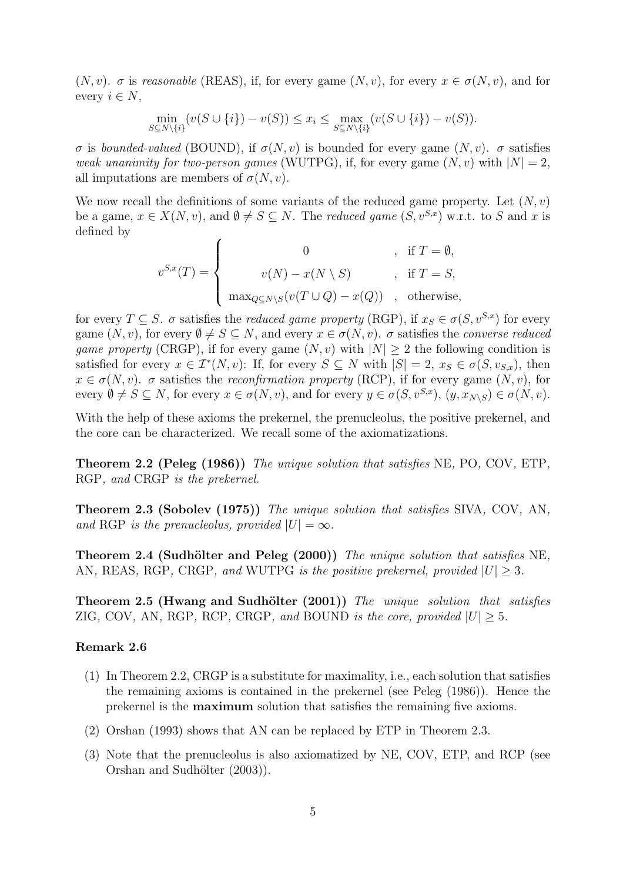$(N, v)$ .  $\sigma$  is reasonable (REAS), if, for every game  $(N, v)$ , for every  $x \in \sigma(N, v)$ , and for every  $i \in N$ ,

$$
\min_{S \subseteq N \setminus \{i\}} (v(S \cup \{i\}) - v(S)) \le x_i \le \max_{S \subseteq N \setminus \{i\}} (v(S \cup \{i\}) - v(S)).
$$

σ is bounded-valued (BOUND), if  $\sigma(N, v)$  is bounded for every game  $(N, v)$ . σ satisfies weak unanimity for two-person games (WUTPG), if, for every game  $(N, v)$  with  $|N| = 2$ , all imputations are members of  $\sigma(N, v)$ .

We now recall the definitions of some variants of the reduced game property. Let  $(N, v)$ <br>be a game  $x \in X(N, v)$  and  $\emptyset \neq S \subset N$ . The reduced game  $(S, v^{S,x})$  w r t to S and x is be a game,  $x \in X(N, v)$ , and  $\emptyset \neq S \subseteq N$ . The *reduced game*  $(S, v^{S,x})$  w.r.t. to S and x is defined by defined by

$$
v^{S,x}(T) = \begin{cases} 0 & , \text{ if } T = \emptyset, \\ v(N) - x(N \setminus S) & , \text{ if } T = S, \\ \max_{Q \subseteq N \setminus S} (v(T \cup Q) - x(Q)) & , \text{ otherwise,} \end{cases}
$$

for every  $T \subseteq S$ .  $\sigma$  satisfies the *reduced game property* (RGP), if  $x_S \in \sigma(S, v^{S,x})$  for every game  $(N, v)$ , for every  $\emptyset \neq S \subseteq N$ , and every  $x \in \sigma(N, v)$ .  $\sigma$  satisfies the *converse reduced*<br>game property (CBCP) if for every game  $(N, v)$  with  $|N| > 2$  the following condition is game property (CRGP), if for every game  $(N, v)$  with  $|N| \geq 2$  the following condition is satisfied for every  $x \in \mathcal{I}^*(N, v)$ : If, for every  $S \subseteq N$  with  $|S| = 2$ ,  $x_S \in \sigma(S, v_{S,x})$ , then  $x \in \sigma(N, v)$ .  $\sigma$  satisfies the *reconfirmation property* (RCP), if for every game  $(N, v)$ , for every  $\emptyset \neq S \subseteq N$ , for every  $x \in \sigma(N, v)$ , and for every  $y \in \sigma(S, v^{S, x})$ ,  $(y, x_{N \setminus S}) \in \sigma(N, v)$ .

With the help of these axioms the prekernel, the prenucleolus, the positive prekernel, and the core can be characterized. We recall some of the axiomatizations.

**Theorem 2.2 (Peleg (1986))** The unique solution that satisfies NE, PO, COV, ETP, RGP, and CRGP is the prekernel.

**Theorem 2.3 (Sobolev (1975))** The unique solution that satisfies SIVA, COV, AN, and RGP is the prenucleolus, provided  $|U| = \infty$ .

**Theorem 2.4 (Sudhölter and Peleg (2000))** The unique solution that satisfies NE, AN, REAS, RGP, CRGP, and WUTPG is the positive prekernel, provided  $|U| \geq 3$ .

**Theorem 2.5 (Hwang and Sudhölter (2001))** The unique solution that satisfies ZIG, COV, AN, RGP, RCP, CRGP, and BOUND is the core, provided  $|U| \geq 5$ .

#### **Remark 2.6**

- (1) In Theorem 2.2, CRGP is a substitute for maximality, i.e., each solution that satisfies the remaining axioms is contained in the prekernel (see Peleg (1986)). Hence the prekernel is the **maximum** solution that satisfies the remaining five axioms.
- (2) Orshan (1993) shows that AN can be replaced by ETP in Theorem 2.3.
- (3) Note that the prenucleolus is also axiomatized by NE, COV, ETP, and RCP (see Orshan and Sudhölter (2003)).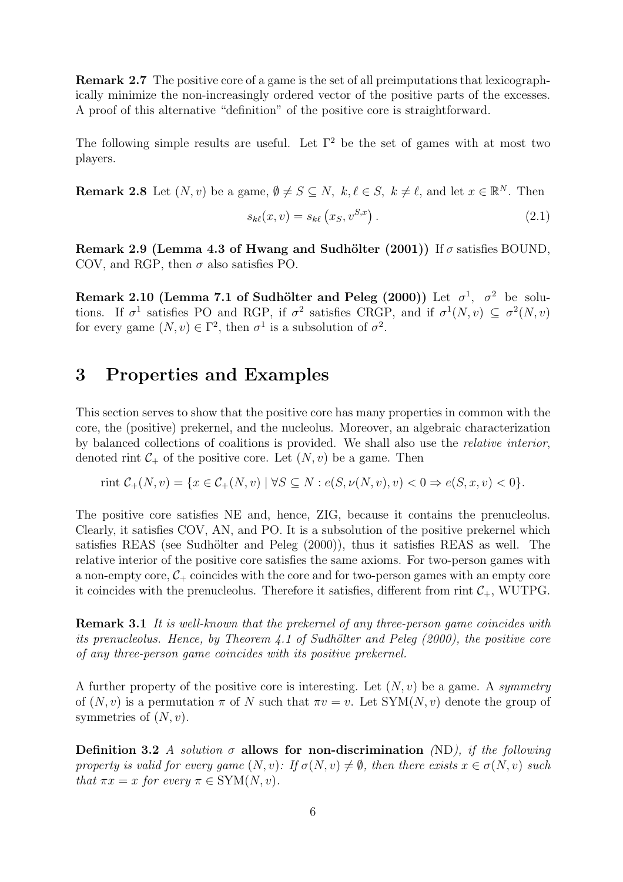**Remark 2.7** The positive core of a game is the set of all preimputations that lexicographically minimize the non-increasingly ordered vector of the positive parts of the excesses. A proof of this alternative "definition" of the positive core is straightforward.

The following simple results are useful. Let  $\Gamma^2$  be the set of games with at most two players.

**Remark 2.8** Let  $(N, v)$  be a game,  $\emptyset \neq S \subseteq N$ ,  $k, \ell \in S$ ,  $k \neq \ell$ , and let  $x \in \mathbb{R}^N$ . Then

$$
s_{k\ell}(x,v) = s_{k\ell}\left(x_S, v^{S,x}\right). \tag{2.1}
$$

**Remark 2.9 (Lemma 4.3 of Hwang and Sudhölter (2001))** If  $\sigma$  satisfies BOUND, COV, and RGP, then  $\sigma$  also satisfies PO.

**Remark 2.10 (Lemma 7.1 of Sudhölter and Peleg (2000))** Let  $\sigma^1$ ,  $\sigma^2$  be solutions. If  $\sigma^1$  satisfies PO and RGP, if  $\sigma^2$  satisfies CRGP, and if  $\sigma^1(N,v) \subseteq \sigma^2(N,v)$ for every game  $(N, v) \in \Gamma^2$ , then  $\sigma^1$  is a subsolution of  $\sigma^2$ .

# **3 Properties and Examples**

This section serves to show that the positive core has many properties in common with the core, the (positive) prekernel, and the nucleolus. Moreover, an algebraic characterization by balanced collections of coalitions is provided. We shall also use the relative interior, denoted rint  $\mathcal{C}_+$  of the positive core. Let  $(N, v)$  be a game. Then

$$
\text{rint } \mathcal{C}_+(N, v) = \{ x \in \mathcal{C}_+(N, v) \mid \forall S \subseteq N : e(S, \nu(N, v), v) < 0 \Rightarrow e(S, x, v) < 0 \}.
$$

The positive core satisfies NE and, hence, ZIG, because it contains the prenucleolus. Clearly, it satisfies COV, AN, and PO. It is a subsolution of the positive prekernel which satisfies REAS (see Sudhölter and Peleg (2000)), thus it satisfies REAS as well. The relative interior of the positive core satisfies the same axioms. For two-person games with a non-empty core,  $C_+$  coincides with the core and for two-person games with an empty core it coincides with the prenucleolus. Therefore it satisfies, different from rint  $C_{+}$ , WUTPG.

**Remark 3.1** It is well-known that the prekernel of any three-person game coincides with its prenucleolus. Hence, by Theorem 4.1 of Sudhölter and Peleg  $(2000)$ , the positive core of any three-person game coincides with its positive prekernel.

A further property of the positive core is interesting. Let  $(N, v)$  be a game. A *symmetry* of  $(N, v)$  is a permutation  $\pi$  of N such that  $\pi v = v$ . Let SYM $(N, v)$  denote the group of symmetries of  $(N, v)$ .

**Definition 3.2** A solution  $\sigma$  **allows for non-discrimination** (ND), if the following property is valid for every game  $(N, v)$ : If  $\sigma(N, v) \neq \emptyset$ , then there exists  $x \in \sigma(N, v)$  such<br>that  $\pi x = x$  for every  $\pi \in \text{SVM}(N, v)$ that  $\pi x = x$  for every  $\pi \in \text{SYM}(N, v)$ .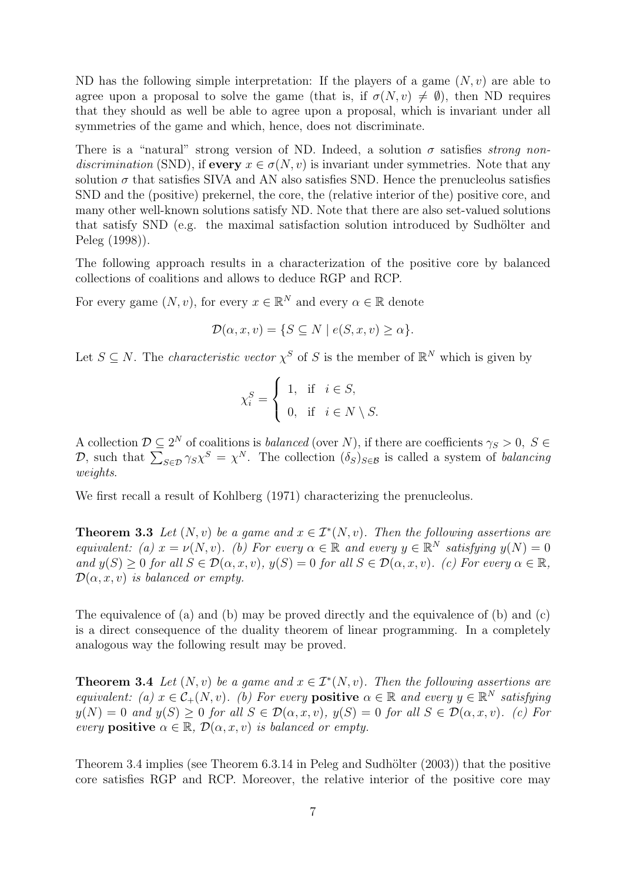ND has the following simple interpretation: If the players of a game  $(N, v)$  are able to agree upon a proposal to solve the game (that is, if  $\sigma(N, v) \neq \emptyset$ ), then ND requires<br>that they should as well be able to agree upon a proposal which is invariant under all that they should as well be able to agree upon a proposal, which is invariant under all symmetries of the game and which, hence, does not discriminate.

There is a "natural" strong version of ND. Indeed, a solution  $\sigma$  satisfies *strong non*discrimination (SND), if **every**  $x \in \sigma(N, v)$  is invariant under symmetries. Note that any solution  $\sigma$  that satisfies SIVA and AN also satisfies SND. Hence the prenucleolus satisfies SND and the (positive) prekernel, the core, the (relative interior of the) positive core, and many other well-known solutions satisfy ND. Note that there are also set-valued solutions that satisfy SND (e.g. the maximal satisfaction solution introduced by Sudhölter and Peleg (1998)).

The following approach results in a characterization of the positive core by balanced collections of coalitions and allows to deduce RGP and RCP.

For every game  $(N, v)$ , for every  $x \in \mathbb{R}^N$  and every  $\alpha \in \mathbb{R}$  denote

$$
\mathcal{D}(\alpha, x, v) = \{ S \subseteq N \mid e(S, x, v) \ge \alpha \}.
$$

Let  $S \subseteq N$ . The *characteristic vector*  $\chi^S$  of S is the member of  $\mathbb{R}^N$  which is given by

$$
\chi_i^S = \begin{cases} 1, & \text{if } i \in S, \\ 0, & \text{if } i \in N \setminus S. \end{cases}
$$

A collection  $\mathcal{D} \subseteq 2^N$  of coalitions is *balanced* (over N), if there are coefficients  $\gamma_S > 0$ ,  $S \in \mathcal{D}$ , such that  $\sum_{S \in \mathcal{D}} \gamma_S \chi^S = \chi^N$ . The collection  $(\delta_S)_{S \in \mathcal{B}}$  is called a system of *balancing* weights.

We first recall a result of Kohlberg  $(1971)$  characterizing the prenucleolus.

**Theorem 3.3** Let  $(N, v)$  be a game and  $x \in \mathcal{I}^*(N, v)$ . Then the following assertions are equivalent: (a)  $x = \nu(N, v)$ . (b) For every  $\alpha \in \mathbb{R}$  and every  $y \in \mathbb{R}^N$  satisfying  $y(N) = 0$ and  $y(S) \geq 0$  for all  $S \in \mathcal{D}(\alpha, x, v)$ ,  $y(S) = 0$  for all  $S \in \mathcal{D}(\alpha, x, v)$ . (c) For every  $\alpha \in \mathbb{R}$ ,  $\mathcal{D}(\alpha, x, v)$  is balanced or empty.

The equivalence of (a) and (b) may be proved directly and the equivalence of (b) and (c) is a direct consequence of the duality theorem of linear programming. In a completely analogous way the following result may be proved.

**Theorem 3.4** Let  $(N, v)$  be a game and  $x \in \mathcal{I}^*(N, v)$ . Then the following assertions are equivalent: (a)  $x \in C_+(N, v)$ . (b) For every **positive**  $\alpha \in \mathbb{R}$  and every  $y \in \mathbb{R}^N$  satisfying  $y(N)=0$  and  $y(S) > 0$  for all  $S \in \mathcal{D}(\alpha, x, v)$ ,  $y(S)=0$  for all  $S \in \mathcal{D}(\alpha, x, v)$ . (c) For every **positive**  $\alpha \in \mathbb{R}$ ,  $\mathcal{D}(\alpha, x, v)$  is balanced or empty.

Theorem 3.4 implies (see Theorem  $6.3.14$  in Peleg and Sudhölter  $(2003)$ ) that the positive core satisfies RGP and RCP. Moreover, the relative interior of the positive core may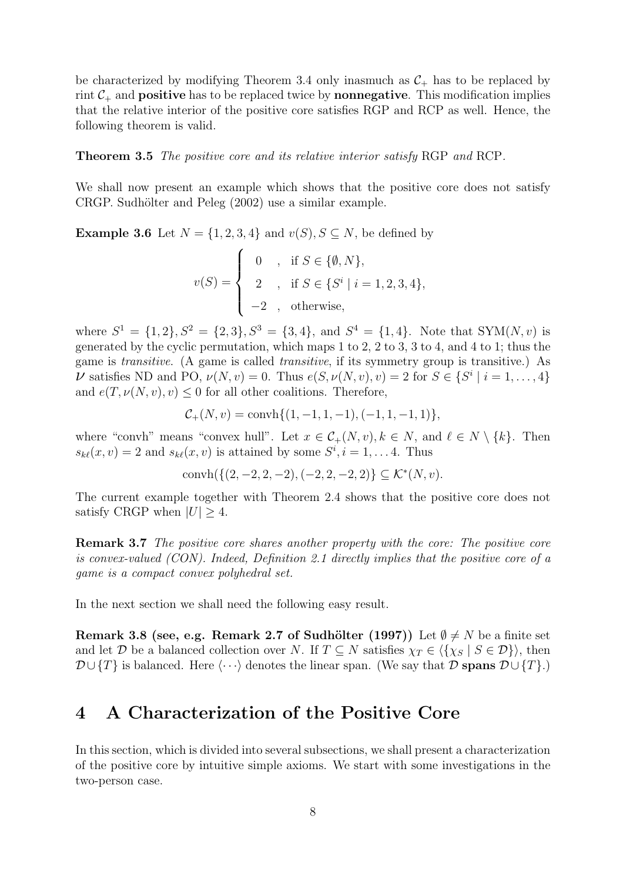be characterized by modifying Theorem 3.4 only inasmuch as  $C_{+}$  has to be replaced by rint  $C_+$  and **positive** has to be replaced twice by **nonnegative**. This modification implies that the relative interior of the positive core satisfies RGP and RCP as well. Hence, the following theorem is valid.

**Theorem 3.5** The positive core and its relative interior satisfy RGP and RCP.

We shall now present an example which shows that the positive core does not satisfy CRGP. Sudhölter and Peleg (2002) use a similar example.

**Example 3.6** Let  $N = \{1, 2, 3, 4\}$  and  $v(S)$ ,  $S \subseteq N$ , be defined by

$$
v(S) = \begin{cases} 0, & \text{if } S \in \{\emptyset, N\}, \\ 2, & \text{if } S \in \{S^i \mid i = 1, 2, 3, 4\}, \\ -2, & \text{otherwise}, \end{cases}
$$

where  $S^1 = \{1, 2\}, S^2 = \{2, 3\}, S^3 = \{3, 4\}, \text{ and } S^4 = \{1, 4\}.$  Note that SYM $(N, v)$  is generated by the cyclic permutation, which maps 1 to 2, 2 to 3, 3 to 4, and 4 to 1; thus the game is transitive. (A game is called transitive, if its symmetry group is transitive.) As V satisfies ND and PO,  $\nu(N, v) = 0$ . Thus  $e(S, \nu(N, v), v) = 2$  for  $S \in \{S^i \mid i = 1, ..., 4\}$ and  $e(T, \nu(N, v), v) \leq 0$  for all other coalitions. Therefore,

$$
C_{+}(N,v) = \text{convh}\{(1,-1,1,-1),(-1,1,-1,1)\},\
$$

where "convh" means "convex hull". Let  $x \in C_+(N, v), k \in N$ , and  $\ell \in N \setminus \{k\}$ . Then  $S_+(x, v) = 2$  and  $S_+(x, v)$  is attained by some  $S_i^i$   $i = 1, \ldots, 4$ . Thus  $s_{k\ell}(x,v) = 2$  and  $s_{k\ell}(x,v)$  is attained by some  $S^i, i = 1, \ldots 4$ . Thus

convh $({(2, -2, 2, -2), (-2, 2, -2, 2)} \subseteq \mathcal{K}^*(N, v)$ .

The current example together with Theorem 2.4 shows that the positive core does not satisfy CRGP when  $|U| \geq 4$ .

**Remark 3.7** The positive core shares another property with the core: The positive core is convex-valued (CON). Indeed, Definition 2.1 directly implies that the positive core of a game is a compact convex polyhedral set.

In the next section we shall need the following easy result.

**Remark 3.8 (see, e.g. Remark 2.7 of Sudhölter (1997))** Let  $\emptyset \neq N$  be a finite set and let  $\mathcal{D}$  be a balanced collection over  $N$ . If  $T \subset N$  satisfies  $\chi_T \in \{f_{\mathcal{N},S} | S \in \mathcal{D}\}$  then and let D be a balanced collection over N. If  $T \subseteq N$  satisfies  $\chi_T \in \langle \{ \chi_S | S \in \mathcal{D} \} \rangle$ , then  $\mathcal{D}\cup\{T\}$  is balanced. Here  $\langle\cdots\rangle$  denotes the linear span. (We say that  $\mathcal{D}$  **spans**  $\mathcal{D}\cup\{T\}$ .)

# **4 A Characterization of the Positive Core**

In this section, which is divided into several subsections, we shall present a characterization of the positive core by intuitive simple axioms. We start with some investigations in the two-person case.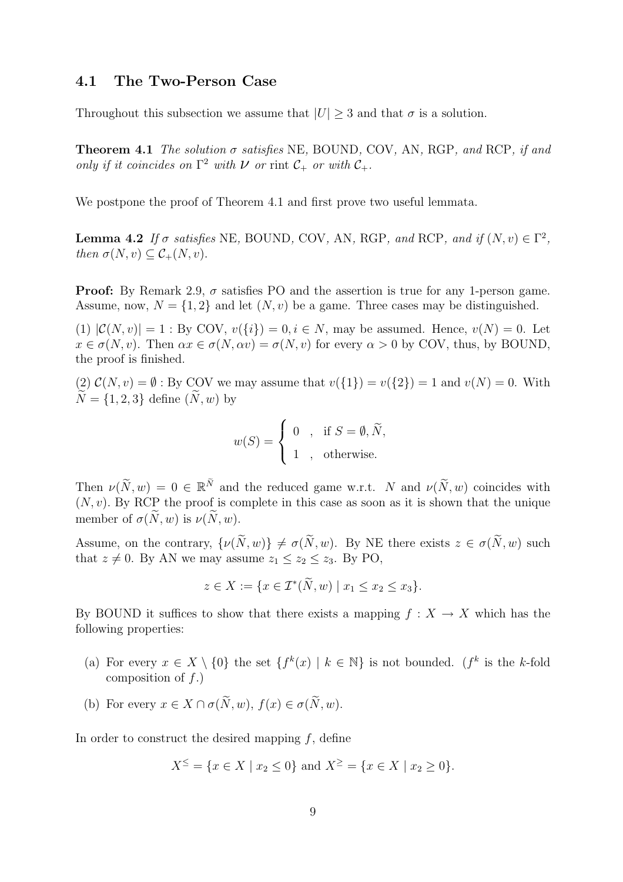#### **4.1 The Two-Person Case**

Throughout this subsection we assume that  $|U| > 3$  and that  $\sigma$  is a solution.

**Theorem 4.1** The solution  $\sigma$  satisfies NE, BOUND, COV, AN, RGP, and RCP, if and only if it coincides on  $\Gamma^2$  with  $\nu$  or rint  $\mathcal{C}_+$  or with  $\mathcal{C}_+$ .

We postpone the proof of Theorem 4.1 and first prove two useful lemmata.

**Lemma 4.2** If  $\sigma$  satisfies NE, BOUND, COV, AN, RGP, and RCP, and if  $(N, v) \in \Gamma^2$ , then  $\sigma(N,v) \subseteq C_+(N,v)$ .

**Proof:** By Remark 2.9,  $\sigma$  satisfies PO and the assertion is true for any 1-person game. Assume, now,  $N = \{1, 2\}$  and let  $(N, v)$  be a game. Three cases may be distinguished.

(1)  $|\mathcal{C}(N,v)| = 1$ : By COV,  $v({i})=0, i \in N$ , may be assumed. Hence,  $v(N) = 0$ . Let  $x \in \sigma(N, v)$ . Then  $\alpha x \in \sigma(N, \alpha v) = \sigma(N, v)$  for every  $\alpha > 0$  by COV, thus, by BOUND, the proof is finished.

(2)  $\mathcal{C}(N,v) = \emptyset$ : By COV we may assume that  $v({1}) = v({2}) = 1$  and  $v(N) = 0$ . With  $\widetilde{N} = \{1, 2, 3\}$  define  $(\widetilde{N}, w)$  by

$$
w(S) = \begin{cases} 0, & \text{if } S = \emptyset, \widetilde{N}, \\ 1, & \text{otherwise.} \end{cases}
$$

Then  $\nu(\tilde{N},w) = 0 \in \mathbb{R}^{\tilde{N}}$  and the reduced game w.r.t. N and  $\nu(\tilde{N},w)$  coincides with  $(N, v)$ . By RCP the proof is complete in this case as soon as it is shown that the unique member of  $\sigma(N,w)$  is  $\nu(N,w)$ .

Assume, on the contrary,  $\{\nu(N, w)\} \neq \sigma(N, w)$ . By NE there exists  $z \in \sigma(N, w)$  such that  $z \neq 0$ . By AN we may assume  $z \leq z_0 \leq z_0$ . By PO that  $z \neq 0$ . By AN we may assume  $z_1 \leq z_2 \leq z_3$ . By PO,

$$
z \in X := \{ x \in \mathcal{I}^*(\tilde{N}, w) \mid x_1 \le x_2 \le x_3 \}.
$$

By BOUND it suffices to show that there exists a mapping  $f : X \to X$  which has the following properties:

- (a) For every  $x \in X \setminus \{0\}$  the set  $\{f^k(x) \mid k \in \mathbb{N}\}\$ is not bounded.  $(f^k \text{ is the } k\text{-fold})$ composition of  $f$ .)
- (b) For every  $x \in X \cap \sigma(\widetilde{N}, w)$ ,  $f(x) \in \sigma(\widetilde{N}, w)$ .

In order to construct the desired mapping  $f$ , define

$$
X^{\leq} = \{ x \in X \mid x_2 \leq 0 \} \text{ and } X^{\geq} = \{ x \in X \mid x_2 \geq 0 \}.
$$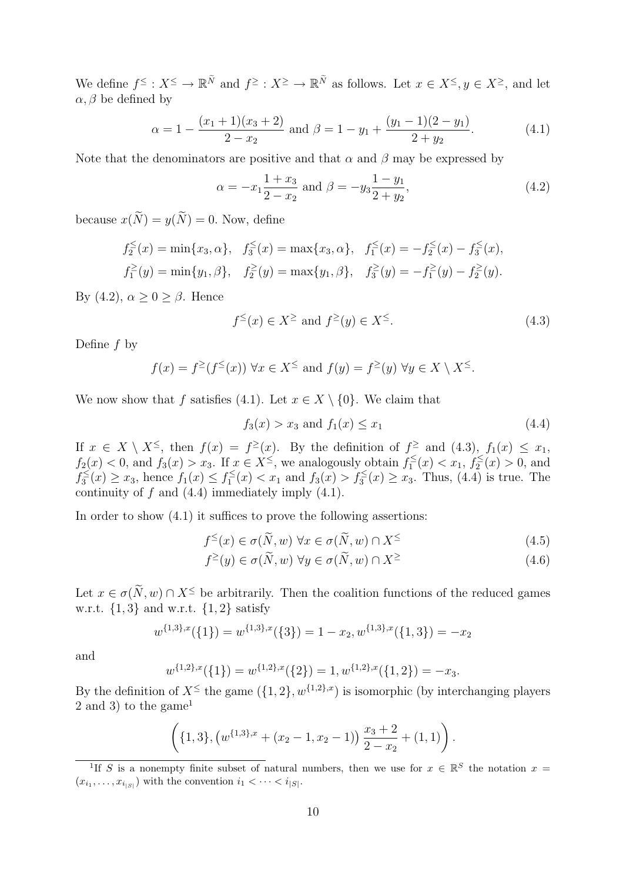We define  $f^{\leq}: X^{\leq} \to \mathbb{R}^{\tilde{N}}$  and  $f^{\geq}: X^{\geq} \to \mathbb{R}^{\tilde{N}}$  as follows. Let  $x \in X^{\leq}, y \in X^{\geq}$ , and let  $\alpha$ ,  $\beta$  be defined by

$$
\alpha = 1 - \frac{(x_1 + 1)(x_3 + 2)}{2 - x_2} \text{ and } \beta = 1 - y_1 + \frac{(y_1 - 1)(2 - y_1)}{2 + y_2}.
$$
 (4.1)

Note that the denominators are positive and that  $\alpha$  and  $\beta$  may be expressed by

$$
\alpha = -x_1 \frac{1+x_3}{2-x_2} \text{ and } \beta = -y_3 \frac{1-y_1}{2+y_2},\tag{4.2}
$$

because  $x(\widetilde{N})=y(\widetilde{N})=0$ . Now, define

$$
f_2^{\leq}(x) = \min\{x_3, \alpha\}, \quad f_3^{\leq}(x) = \max\{x_3, \alpha\}, \quad f_1^{\leq}(x) = -f_2^{\leq}(x) - f_3^{\leq}(x),
$$
  

$$
f_1^{\geq}(y) = \min\{y_1, \beta\}, \quad f_2^{\geq}(y) = \max\{y_1, \beta\}, \quad f_3^{\geq}(y) = -f_1^{\geq}(y) - f_2^{\geq}(y).
$$

By (4.2),  $\alpha \geq 0 \geq \beta$ . Hence

$$
f^{\leq}(x) \in X^{\geq} \text{ and } f^{\geq}(y) \in X^{\leq}. \tag{4.3}
$$

Define  $f$  by

$$
f(x) = f^{\ge}(f^{\le}(x)) \forall x \in X^{\le}
$$
 and  $f(y) = f^{\ge}(y) \forall y \in X \setminus X^{\le}$ .

We now show that f satisfies (4.1). Let  $x \in X \setminus \{0\}$ . We claim that

$$
f_3(x) > x_3
$$
 and  $f_1(x) \le x_1$  (4.4)

If  $x \in X \setminus X^{\leq}$ , then  $f(x) = f^{\geq}(x)$ . By the definition of  $f^{\geq}$  and  $(4.3)$ ,  $f_1(x) \leq x_1$ ,  $f_2(x) < 0$ , and  $f_3(x) > x_3$ . If  $x \in X^{\le}$ , we analogously obtain  $f_1^{\le}(x) < x_1$ ,  $f_2^{\le}(x) > 0$ , and  $f_3(x) > x_2$ , hence  $f_1(x) < f_1^{\le}(x) < x_1$  and  $f_2(x) > x_2$ . Thus  $(A, A)$  is true. The  $f_3^{\le}(x) \ge x_3$ , hence  $f_1(x) \le f_1^{\le}(x) < x_1$  and  $f_3(x) > f_3^{\le}(x) \ge x_3$ . Thus, (4.4) is true. The continuity of f and (4.4) immediately imply (4.1) continuity of  $f$  and  $(4.4)$  immediately imply  $(4.1)$ .

In order to show  $(4.1)$  it suffices to prove the following assertions:

$$
f^{\leq}(x) \in \sigma(\tilde{N}, w) \,\forall x \in \sigma(\tilde{N}, w) \cap X^{\leq}
$$
\n
$$
\tilde{N} \in \tilde{N} \quad (4.5)
$$

$$
f^{\geq}(y) \in \sigma(\widetilde{N}, w) \,\forall y \in \sigma(\widetilde{N}, w) \cap X^{\geq} \tag{4.6}
$$

Let  $x \in \sigma(\tilde{N}, w) \cap X^{\leq}$  be arbitrarily. Then the coalition functions of the reduced games w.r.t.  $\{1,3\}$  and w.r.t.  $\{1,2\}$  satisfy

$$
w^{\{1,3\},x}(\{1\}) = w^{\{1,3\},x}(\{3\}) = 1 - x_2, w^{\{1,3\},x}(\{1,3\}) = -x_2
$$

and

$$
w^{\{1,2\},x}(\{1\}) = w^{\{1,2\},x}(\{2\}) = 1, w^{\{1,2\},x}(\{1,2\}) = -x_3.
$$

By the definition of  $X^{\leq}$  the game  $(\{1,2\}, w^{\{1,2\},x})$  is isomorphic (by interchanging players 2 and 3) to the game<sup>1</sup> 2 and 3) to the game<sup>1</sup>

$$
\left( \{1,3\}, \left( w^{\{1,3\},x} + (x_2 - 1, x_2 - 1) \right) \frac{x_3 + 2}{2 - x_2} + (1,1) \right)
$$

<sup>&</sup>lt;sup>1</sup>If S is a nonempty finite subset of natural numbers, then we use for  $x \in \mathbb{R}^S$  the notation  $x =$  $(x_{i_1},\ldots,x_{i_{|S|}})$  with the convention  $i_1 < \cdots < i_{|S|}$ .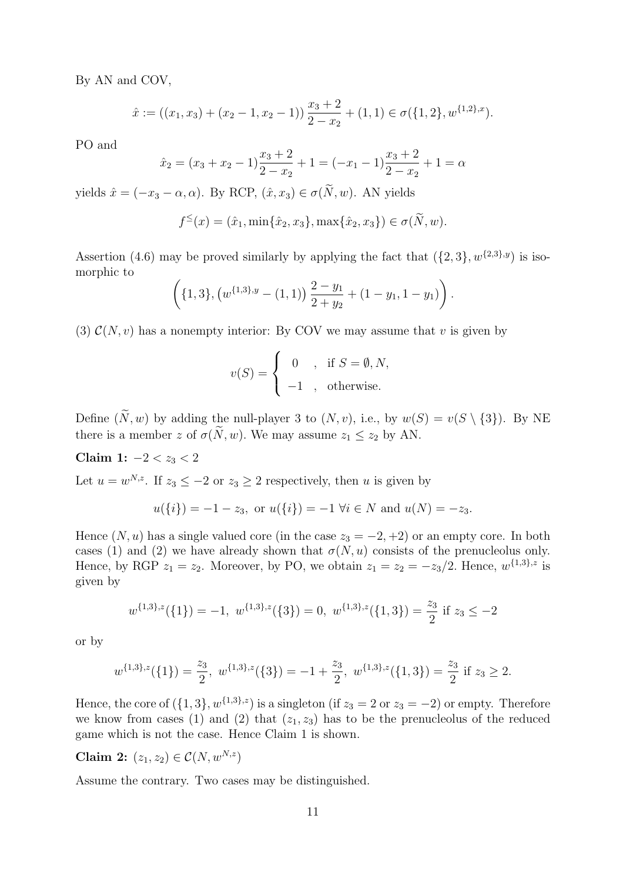By AN and COV,

$$
\hat{x} := ((x_1, x_3) + (x_2 - 1, x_2 - 1)) \frac{x_3 + 2}{2 - x_2} + (1, 1) \in \sigma({1, 2}, w^{{1, 2}, x}).
$$

PO and

$$
\hat{x}_2 = (x_3 + x_2 - 1)\frac{x_3 + 2}{2 - x_2} + 1 = (-x_1 - 1)\frac{x_3 + 2}{2 - x_2} + 1 = \alpha
$$

yields  $\hat{x} = (-x_3 - \alpha, \alpha)$ . By RCP,  $(\hat{x}, x_3) \in \sigma(N, w)$ . AN yields

$$
f^{\leq}(x) = (\hat{x}_1, \min{\{\hat{x}_2, x_3\}}, \max{\{\hat{x}_2, x_3\}}) \in \sigma(\widetilde{N}, w).
$$

Assertion (4.6) may be proved similarly by applying the fact that  $({2, 3}, w^{2,3},y)$  is isomorphic to

$$
\left(\{1,3\},\left(w^{\{1,3\},y}-(1,1)\right)\frac{2-y_1}{2+y_2}+(1-y_1,1-y_1)\right)
$$

(3)  $\mathcal{C}(N, v)$  has a nonempty interior: By COV we may assume that v is given by

$$
v(S) = \begin{cases} 0, & \text{if } S = \emptyset, N, \\ -1, & \text{otherwise.} \end{cases}
$$

Define  $(\widetilde{N},w)$  by adding the null-player 3 to  $(N,v)$ , i.e., by  $w(S) = v(S \setminus \{3\})$ . By NE there is a member z of  $\sigma(\widetilde{N},w)$ . We may assume  $z_1 \leq z_2$  by AN.

Claim 1:  $-2 < z_3 < 2$ 

Let  $u = w^{N,z}$ . If  $z_3 \le -2$  or  $z_3 \ge 2$  respectively, then u is given by

$$
u({i}) = -1 - z_3
$$
, or  $u({i}) = -1 \forall i \in N$  and  $u(N) = -z_3$ .

Hence  $(N, u)$  has a single valued core (in the case  $z_3 = -2, +2$ ) or an empty core. In both cases (1) and (2) we have already shown that  $\sigma(N, u)$  consists of the prenucleolus only. Hence, by RGP  $z_1 = z_2$ . Moreover, by PO, we obtain  $z_1 = z_2 = -z_3/2$ . Hence,  $w^{\{1,3\},z}$  is given by

$$
w^{\{1,3\},z}(\{1\}) = -1, w^{\{1,3\},z}(\{3\}) = 0, w^{\{1,3\},z}(\{1,3\}) = \frac{z_3}{2}
$$
 if  $z_3 \le -2$ 

or by

$$
w^{\{1,3\},z}(\{1\}) = \frac{z_3}{2}, \ w^{\{1,3\},z}(\{3\}) = -1 + \frac{z_3}{2}, \ w^{\{1,3\},z}(\{1,3\}) = \frac{z_3}{2} \text{ if } z_3 \ge 2.
$$

Hence, the core of  $(\{1,3\}, w^{\{1,3\},z})$  is a singleton (if  $z_3 = 2$  or  $z_3 = -2$ ) or empty. Therefore we know from cases (1) and (2) that  $(z_1, z_3)$  has to be the prenucleolus of the reduced game which is not the case. Hence Claim 1 is shown.

**Claim 2:**  $(z_1, z_2) \in \mathcal{C}(N, w^{N,z})$ 

Assume the contrary. Two cases may be distinguished.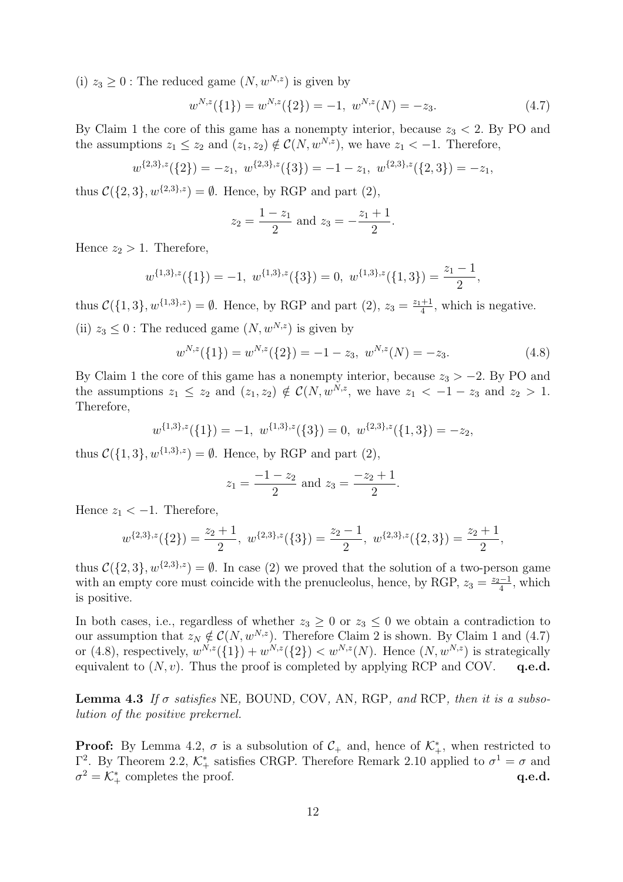(i)  $z_3 \geq 0$ : The reduced game  $(N, w^{N,z})$  is given by

$$
w^{N,z}(\{1\}) = w^{N,z}(\{2\}) = -1, \ w^{N,z}(N) = -z_3. \tag{4.7}
$$

By Claim 1 the core of this game has a nonempty interior, because  $z_3 < 2$ . By PO and the assumptions  $z_1 \leq z_2$  and  $(z_1, z_2) \notin \mathcal{C}(N, w^{N,z})$ , we have  $z_1 < -1$ . Therefore,

$$
w^{\{2,3\},z}(\{2\}) = -z_1, \ w^{\{2,3\},z}(\{3\}) = -1 - z_1, \ w^{\{2,3\},z}(\{2,3\}) = -z_1,
$$

thus  $C({2, 3}, w^{2,3},z) = \emptyset$ . Hence, by RGP and part (2),

$$
z_2 = \frac{1-z_1}{2}
$$
 and  $z_3 = -\frac{z_1+1}{2}$ .

Hence  $z_2 > 1$ . Therefore,

 $w^{\{1,3\},z}(\{1\}) = -1, w^{\{1,3\},z}(\{3\}) = 0, w^{\{1,3\},z}(\{1,3\}) = \frac{z_1 - 1}{2},$ 

thus  $C({1, 3}, w^{\{1,3\},z}) = \emptyset$ . Hence, by RGP and part  $(2), z_3 = \frac{z_1+1}{4}$ , which is negative.

(ii)  $z_3 \leq 0$ : The reduced game  $(N, w^{N,z})$  is given by

$$
w^{N,z}(\{1\}) = w^{N,z}(\{2\}) = -1 - z_3, \ w^{N,z}(N) = -z_3.
$$
 (4.8)

By Claim 1 the core of this game has a nonempty interior, because  $z_3 > -2$ . By PO and the assumptions  $z_1 \leq z_2$  and  $(z_1, z_2) \notin \mathcal{C}(N, w^{N,z})$ , we have  $z_1 < -1 - z_3$  and  $z_2 > 1$ . Therefore,

$$
w^{\{1,3\},z}(\{1\}) = -1, \ w^{\{1,3\},z}(\{3\}) = 0, \ w^{\{2,3\},z}(\{1,3\}) = -z_2,
$$

thus  $\mathcal{C}(\{1,3\}, w^{\{1,3\},z}) = \emptyset$ . Hence, by RGP and part (2),

$$
z_1 = \frac{-1 - z_2}{2}
$$
 and  $z_3 = \frac{-z_2 + 1}{2}$ .

Hence  $z_1 < -1$ . Therefore,

$$
w^{\{2,3\},z}(\{2\}) = \frac{z_2+1}{2}, \ w^{\{2,3\},z}(\{3\}) = \frac{z_2-1}{2}, \ w^{\{2,3\},z}(\{2,3\}) = \frac{z_2+1}{2},
$$

thus  $\mathcal{C}(\{2,3\}, w^{\{2,3\},z}) = \emptyset$ . In case (2) we proved that the solution of a two-person game with an empty core must coincide with the prenucleolus, hence, by RGP,  $z_3 = \frac{z_2-1}{4}$ , which is positive.

In both cases, i.e., regardless of whether  $z_3 \geq 0$  or  $z_3 \leq 0$  we obtain a contradiction to our assumption that  $z_N \notin \mathcal{C}(N, w^{N,z})$ . Therefore Claim 2 is shown. By Claim 1 and (4.7) or (4.8), respectively,  $w^{N,z}(\{1\}) + w^{N,z}(\{2\}) < w^{N,z}(N)$ . Hence  $(N, w^{N,z})$  is strategically equivalent to  $(N, v)$ . Thus the proof is completed by applying RCP and COV. q.e.d. equivalent to  $(N, v)$ . Thus the proof is completed by applying RCP and COV.

**Lemma 4.3** If  $\sigma$  satisfies NE, BOUND, COV, AN, RGP, and RCP, then it is a subsolution of the positive prekernel.

**Proof:** By Lemma 4.2,  $\sigma$  is a subsolution of  $C_+$  and, hence of  $\mathcal{K}_+^*$ , when restricted to  $\Gamma^2$ . By Theorem 2.2,  $\mathcal{K}^*$  satisfies CRCP Therefore Bemark 2.10 applied to  $\sigma^1 = \sigma$  and  $Γ<sup>2</sup>$ . By Theorem 2.2,  $K_{+}^{*}$  satisfies CRGP. Therefore Remark 2.10 applied to  $σ<sup>1</sup> = σ$  and  $σ<sup>2</sup> = K^{*}$  completes the proof  $\sigma^2 = \mathcal{K}^*_+$  completes the proof. **q.e.d.**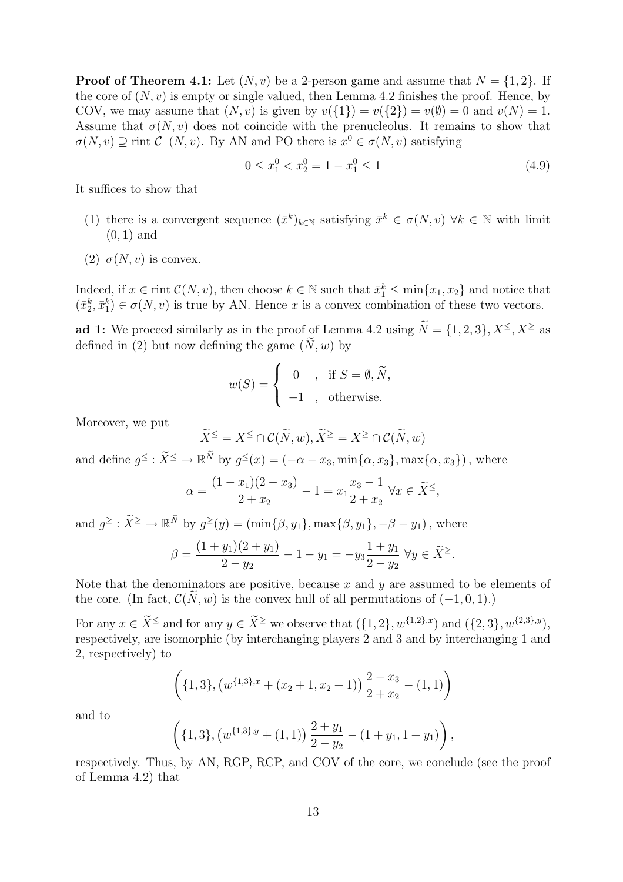**Proof of Theorem 4.1:** Let  $(N, v)$  be a 2-person game and assume that  $N = \{1, 2\}$ . If the core of  $(N, v)$  is empty or single valued, then Lemma 4.2 finishes the proof. Hence, by COV, we may assume that  $(N, v)$  is given by  $v({1}) = v({2}) = v(\emptyset) = 0$  and  $v(N) = 1$ . Assume that  $\sigma(N, v)$  does not coincide with the prenucleolus. It remains to show that  $\sigma(N, v) \supseteq \text{rint } C_+(N, v)$ . By AN and PO there is  $x^0 \in \sigma(N, v)$  satisfying

$$
0 \le x_1^0 < x_2^0 = 1 - x_1^0 \le 1 \tag{4.9}
$$

It suffices to show that

- (1) there is a convergent sequence  $(\bar{x}^k)_{k\in\mathbb{N}}$  satisfying  $\bar{x}^k \in \sigma(N,v)$   $\forall k \in \mathbb{N}$  with limit  $(0, 1)$  and
- (2)  $\sigma(N, v)$  is convex.

Indeed, if  $x \in \text{rint } C(N, v)$ , then choose  $k \in \mathbb{N}$  such that  $\bar{x}_1^k \le \min\{x_1, x_2\}$  and notice that  $(\bar{x}_k^k, \bar{x}_k^k) \in \sigma(N, v)$  is true by AN. Hence x is a convex combination of these two vectors  $(\bar{x}_2^k, \bar{x}_1^k) \in \sigma(N, v)$  is true by AN. Hence x is a convex combination of these two vectors.

**ad 1:** We proceed similarly as in the proof of Lemma 4.2 using  $\widetilde{N} = \{1, 2, 3\}, X^{\leq}, X^{\geq}$  as defined in (2) but now defining the game  $(\tilde{N},w)$  by

$$
w(S) = \begin{cases} 0, & \text{if } S = \emptyset, \widetilde{N}, \\ -1, & \text{otherwise.} \end{cases}
$$

Moreover, we put

$$
\widetilde{X}^{\leq} = X^{\leq} \cap \mathcal{C}(\widetilde{N}, w), \widetilde{X}^{\geq} = X^{\geq} \cap \mathcal{C}(\widetilde{N}, w)
$$

and define  $g^{\leq}$  :  $\bar{X}^{\leq} \to \mathbb{R}^N$  by  $g^{\leq}(x) = (-\alpha - x_3, \min\{\alpha, x_3\}, \max\{\alpha, x_3\})$ , where

$$
\alpha = \frac{(1 - x_1)(2 - x_3)}{2 + x_2} - 1 = x_1 \frac{x_3 - 1}{2 + x_2} \,\forall x \in \widetilde{X}^{\leq},
$$

and  $g^{\geq}$  :  $\tilde{X}^{\geq} \to \mathbb{R}^N$  by  $g^{\geq}(y) = (\min\{\beta, y_1\}, \max\{\beta, y_1\}, -\beta - y_1)$ , where

$$
\beta = \frac{(1+y_1)(2+y_1)}{2-y_2} - 1 - y_1 = -y_3 \frac{1+y_1}{2-y_2} \,\forall y \in \widetilde{X}^{\geq}.
$$

Note that the denominators are positive, because x and  $y$  are assumed to be elements of the core. (In fact,  $\mathcal{C}(N, w)$  is the convex hull of all permutations of  $(-1, 0, 1)$ .)

For any  $x \in \widetilde{X}^{\leq}$  and for any  $y \in \widetilde{X}^{\geq}$  we observe that  $(\{1, 2\}, w^{\{1, 2\}, x})$  and  $(\{2, 3\}, w^{\{2, 3\}, y})$ , respectively, are isomorphic (by interchanging players 2 and 3 and by interchanging 1 and 2, respectively) to

$$
\left( \{1,3\}, \left( w^{\{1,3\},x} + (x_2 + 1, x_2 + 1) \right) \frac{2 - x_3}{2 + x_2} - (1,1) \right)
$$

and to

$$
\left(\{1,3\}, \left(w^{\{1,3\},y} + (1,1)\right)\frac{2+y_1}{2-y_2} - (1+y_1, 1+y_1)\right),\,
$$

respectively. Thus, by AN, RGP, RCP, and COV of the core, we conclude (see the proof of Lemma 4.2) that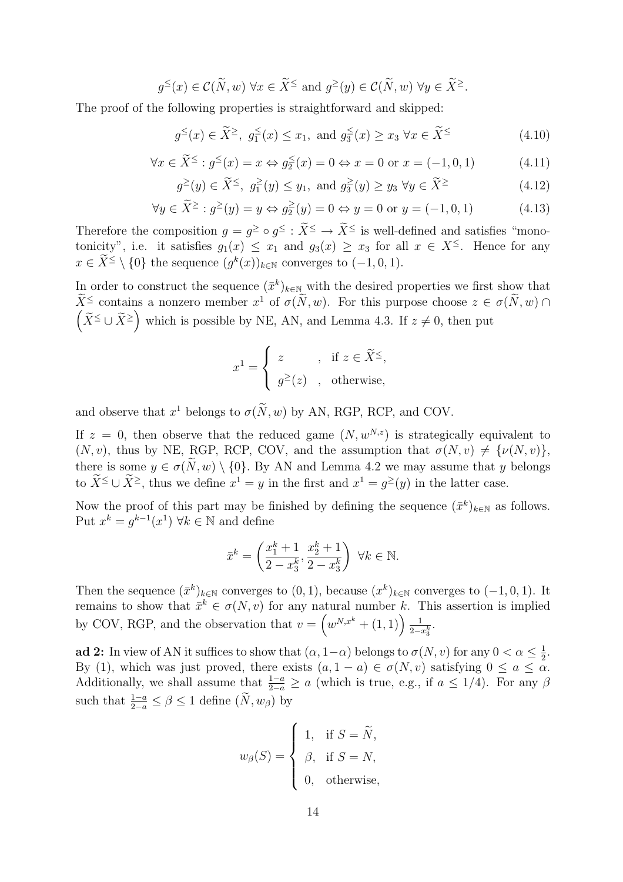$$
g^{\leq}(x) \in C(\widetilde{N}, w) \,\forall x \in \widetilde{X}^{\leq} \text{ and } g^{\geq}(y) \in C(\widetilde{N}, w) \,\forall y \in \widetilde{X}^{\geq}.
$$

The proof of the following properties is straightforward and skipped:

$$
g^{\leq}(x) \in \widetilde{X}^{\geq}, g_1^{\leq}(x) \leq x_1, \text{ and } g_3^{\leq}(x) \geq x_3 \,\forall x \in \widetilde{X}^{\leq}
$$
 (4.10)

$$
\forall x \in \widetilde{X}^{\leq} : g^{\leq}(x) = x \Leftrightarrow g_2^{\leq}(x) = 0 \Leftrightarrow x = 0 \text{ or } x = (-1, 0, 1) \tag{4.11}
$$

$$
g^{\geq}(y) \in \widetilde{X}^{\leq}, \ g_1^{\geq}(y) \leq y_1, \text{ and } g_3^{\geq}(y) \geq y_3 \ \forall y \in \widetilde{X}^{\geq} \tag{4.12}
$$

$$
\forall y \in \widetilde{X}^{\geq} : g^{\geq}(y) = y \Leftrightarrow g_2^{\geq}(y) = 0 \Leftrightarrow y = 0 \text{ or } y = (-1, 0, 1)
$$
 (4.13)

Therefore the composition  $g = g^{\ge} \circ g^{\le} : X^{\le} \to X^{\le}$  is well-defined and satisfies "mono-<br>tonicity" i.e. it satisfies  $g_{\epsilon}(x) \leq x_{\epsilon}$  and  $g_{\epsilon}(x) \geq x_{\epsilon}$  for all  $x \in X^{\le}$ . Hence for any tonicity", i.e. it satisfies  $g_1(x) \leq x_1$  and  $g_3(x) \geq x_3$  for all  $x \in X^{\leq}$ . Hence for any  $x \in \widetilde{X}^{\leq} \setminus \{0\}$  the sequence  $(g^k(x))_{k \in \mathbb{N}}$  converges to  $(-1, 0, 1)$ .

In order to construct the sequence  $(\bar{x}^k)_{k\in\mathbb{N}}$  with the desired properties we first show that  $\widetilde{X} \leq$  contains a nonzero member  $x^1$  of  $\sigma(\widetilde{N},w)$ . For this purpose choose  $z \in \sigma(\widetilde{N},w)$  $(\widetilde{X}^{\leq} \cup \widetilde{X}^{\geq})$  which is possible by NE, AN, and Lemma 4.3. If  $z \neq 0$ , then put

$$
x^{1} = \begin{cases} z & , \text{if } z \in \widetilde{X}^{\leq}, \\ g^{\geq}(z) & , \text{ otherwise,} \end{cases}
$$

and observe that  $x^1$  belongs to  $\sigma(\tilde{N}, w)$  by AN, RGP, RCP, and COV.

If  $z = 0$ , then observe that the reduced game  $(N, w^{N,z})$  is strategically equivalent to  $(N, v)$ , thus by NE, RGP, RCP, COV, and the assumption that  $\sigma(N, v) \neq {\nu(N, v)}$ ,<br>there is some  $u \in \sigma(\tilde{N}, w) \setminus \{0\}$ . By AN and Lemma 4.2 we may assume that *u* belongs there is some  $y \in \sigma(\tilde{N}, w) \setminus \{0\}$ . By AN and Lemma 4.2 we may assume that y belongs to  $\widetilde{X} \leq \bigcup \widetilde{X} \geq$ , thus we define  $x^1 = y$  in the first and  $x^1 = g^{\geq}(y)$  in the latter case.

Now the proof of this part may be finished by defining the sequence  $(\bar{x}^k)_{k\in\mathbb{N}}$  as follows. Put  $x^k = q^{k-1}(x^1)$   $\forall k \in \mathbb{N}$  and define

$$
\bar{x}^k = \left(\frac{x_1^k + 1}{2 - x_3^k}, \frac{x_2^k + 1}{2 - x_3^k}\right) \ \forall k \in \mathbb{N}.
$$

Then the sequence  $(\bar{x}^k)_{k\in\mathbb{N}}$  converges to  $(0, 1)$ , because  $(x^k)_{k\in\mathbb{N}}$  converges to  $(-1, 0, 1)$ . It remains to show that  $\overline{x}^k \in \sigma(N,v)$  for any natural number k. This assertion is implied by COV, RGP, and the observation that  $v = (w^{N,x^k} + (1,1)) \frac{1}{2-x_3^k}$ .

**ad 2:** In view of AN it suffices to show that  $(\alpha, 1-\alpha)$  belongs to  $\sigma(N, v)$  for any  $0 < \alpha \leq \frac{1}{2}$ .<br>By (1) which was just proved, there exists  $(a, 1 - a) \in \sigma(N, v)$  satisfying  $0 \leq a \leq \alpha$ . By (1), which was just proved, there exists  $(a, 1 - a) \in \sigma(N, v)$  satisfying  $0 \le a \le a$ . Additionally, we shall assume that  $\frac{1-a}{2-a} \ge a$  (which is true, e.g., if  $a \le 1/4$ ). For any  $\beta$ such that  $\frac{1-a}{2-a} \leq \beta \leq 1$  define  $(\widetilde{N}, w_{\beta})$  by

$$
w_{\beta}(S) = \begin{cases} 1, & \text{if } S = \widetilde{N}, \\ \beta, & \text{if } S = N, \\ 0, & \text{otherwise}, \end{cases}
$$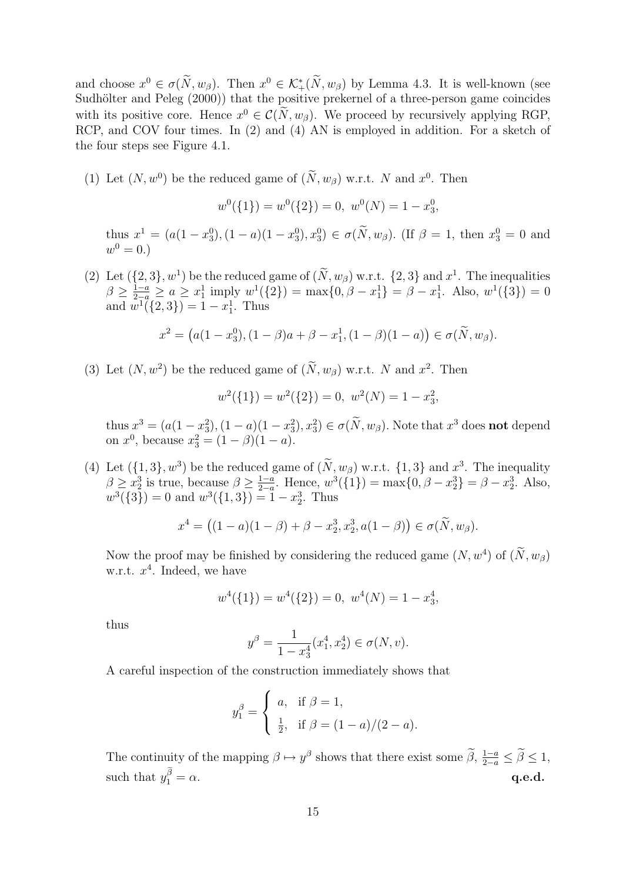and choose  $x^0 \in \sigma(N, w_\beta)$ . Then  $x^0 \in \mathcal{K}^*_+(\tilde{N}, w_\beta)$  by Lemma 4.3. It is well-known (see<br>Sudhölter and Peleg (2000)) that the positive prekernal of a three-person game coincides Sudhölter and Peleg  $(2000)$ ) that the positive prekernel of a three-person game coincides with its positive core. Hence  $x^0 \in \mathcal{C}(N,w_\beta)$ . We proceed by recursively applying RGP, RCP, and COV four times. In (2) and (4) AN is employed in addition. For a sketch of the four steps see Figure 4.1.

(1) Let  $(N, w^0)$  be the reduced game of  $(\widetilde{N}, w_{\beta})$  w.r.t. N and  $x^0$ . Then

$$
w^{0}(\lbrace 1 \rbrace) = w^{0}(\lbrace 2 \rbrace) = 0, \ w^{0}(N) = 1 - x_{3}^{0},
$$

thus  $x^1 = (a(1-x_3^0), (1-a)(1-x_3^0), x_3^0) \in \sigma(N, w_\beta)$ . (If  $\beta = 1$ , then  $x_3^0 = 0$  and  $w_3^0 = 0$ )  $w^0 = 0.$ 

(2) Let  $(\{2,3\}, w^1)$  be the reduced game of  $(N, w_\beta)$  w.r.t.  $\{2,3\}$  and  $x^1$ . The inequalities  $\beta > \frac{1-a}{2} > \beta > x^1$  imply  $w^1(\beta) = \max(0, \beta - x^1) = \beta - x^1$ . Also  $w^1(\beta) = 0$  $\beta \ge \frac{1-a}{2-a} \ge a \ge x_1^1$  imply  $w^1(\{2\}) = \max\{0, \beta - x_1^1\} = \beta - x_1^1$ . Also,  $w^1(\{3\}) = 0$ and  $w^1({2, 3}) = 1 - x_1^1$ . Thus

$$
x^{2} = (a(1 - x_{3}^{0}), (1 - \beta)a + \beta - x_{1}^{1}, (1 - \beta)(1 - a)) \in \sigma(\widetilde{N}, w_{\beta}).
$$

(3) Let  $(N, w^2)$  be the reduced game of  $(\widetilde{N}, w_{\beta})$  w.r.t. N and  $x^2$ . Then

$$
w^{2}(\lbrace 1 \rbrace) = w^{2}(\lbrace 2 \rbrace) = 0, \ w^{2}(N) = 1 - x_{3}^{2},
$$

thus  $x^3 = (a(1-x_3^2), (1-a)(1-x_3^2), x_3^2) \in \sigma(N, w_\beta)$ . Note that  $x^3$  does **not** depend<br>on  $x^0$  because  $x^2 - (1-\beta)(1-\alpha)$ on  $x^0$ , because  $x_3^2 = (1 - \beta)(1 - a)$ .

(4) Let  $({1, 3}, w^3)$  be the reduced game of  $(N, w_\beta)$  w.r.t.  ${1, 3}$  and  $x^3$ . The inequality  $\beta > x^3$  is true because  $\beta > \frac{1-a}{2}$  Hence  $w^3(11) - \max(0, \beta - x^3) - \beta - x^3$  Also  $\beta \geq x_2^3$  is true, because  $\beta \geq \frac{1-a}{2-a}$ . Hence,  $w^3({1}) = \max\{0, \beta - x_2^3\} = \beta - x_2^3$ . Also,  $w^3({1}) = 0$  and  $w^3({1}) = 1 - x_2^3$ . Thus  $w^3({3}) = 0$  and  $w^3({1, 3}) = 1 - x_2^3$ . Thus

$$
x^4 = ((1 - a)(1 - \beta) + \beta - x_2^3, x_2^3, a(1 - \beta)) \in \sigma(\widetilde{N}, w_{\beta}).
$$

Now the proof may be finished by considering the reduced game  $(N, w^4)$  of  $(\widetilde{N}, w_{\beta})$ w.r.t.  $x^4$ . Indeed, we have

 $w^4({1}) = w^4({2}) = 0, w^4(N) = 1 - x_3^4,$ 

thus

$$
y^{\beta} = \frac{1}{1 - x_3^4} (x_1^4, x_2^4) \in \sigma(N, v).
$$

A careful inspection of the construction immediately shows that

$$
y_1^{\beta} = \begin{cases} a, & \text{if } \beta = 1, \\ \frac{1}{2}, & \text{if } \beta = (1 - a)/(2 - a). \end{cases}
$$

The continuity of the mapping  $\beta \mapsto y^{\beta}$  shows that there exist some  $\tilde{\beta}, \frac{1-a}{2-a} \leq \tilde{\beta} \leq 1$ , such that  $y_1^{\widetilde{\beta}} = \alpha$ .  $\frac{\beta}{1} = \alpha.$  **q.e.d.**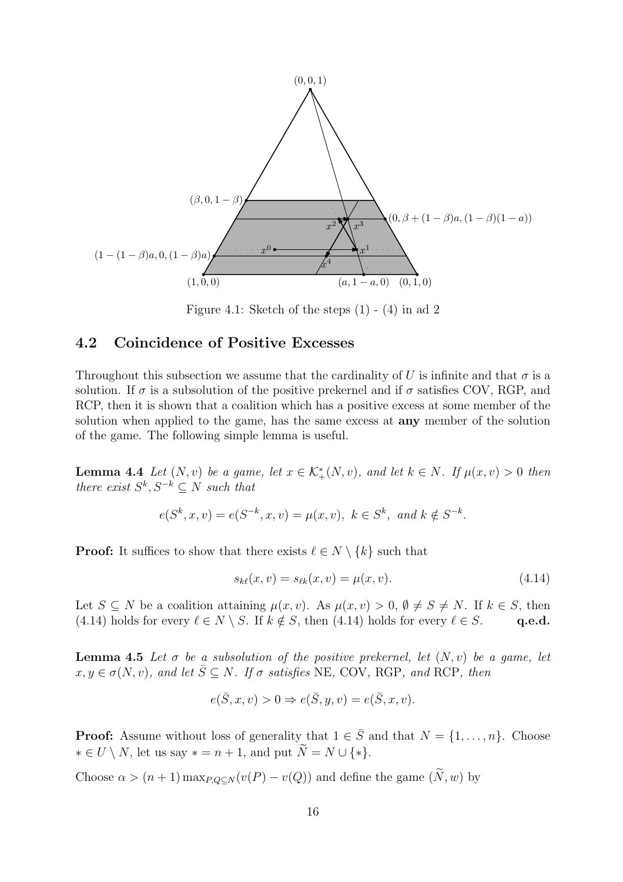

Figure 4.1: Sketch of the steps  $(1)$  -  $(4)$  in ad 2

### **4.2 Coincidence of Positive Excesses**

Throughout this subsection we assume that the cardinality of U is infinite and that  $\sigma$  is a solution. If  $\sigma$  is a subsolution of the positive prekernel and if  $\sigma$  satisfies COV, RGP, and RCP, then it is shown that a coalition which has a positive excess at some member of the solution when applied to the game, has the same excess at **any** member of the solution of the game. The following simple lemma is useful.

**Lemma 4.4** Let  $(N, v)$  be a game, let  $x \in \mathcal{K}^*_+(N, v)$ , and let  $k \in N$ . If  $\mu(x, v) > 0$  then there exist  $S^k S^{-k} \subset N$  such that there exist  $S^k, S^{-k} \subseteq N$  such that

$$
e(S^k, x, v) = e(S^{-k}, x, v) = \mu(x, v), \ k \in S^k, \ and \ k \notin S^{-k}.
$$

**Proof:** It suffices to show that there exists  $\ell \in N \setminus \{k\}$  such that

$$
s_{k\ell}(x,v) = s_{\ell k}(x,v) = \mu(x,v).
$$
 (4.14)

Let  $S \subseteq N$  be a coalition attaining  $\mu(x, v)$ . As  $\mu(x, v) > 0$ ,  $\emptyset \neq S \neq N$ . If  $k \in S$ , then  $(4.14)$  holds for every  $\ell \in S$  and  $(4.14)$  holds for every  $\ell \in N \setminus S$ . If  $k \notin S$ , then  $(4.14)$  holds for every  $\ell \in S$ . **q.e.d.** 

**Lemma 4.5** Let  $\sigma$  be a subsolution of the positive prekernel, let  $(N, v)$  be a game, let  $x, y \in \sigma(N, v)$ , and let  $\overline{S} \subseteq N$ . If  $\sigma$  satisfies NE, COV, RGP, and RCP, then

$$
e(\bar{S}, x, v) > 0 \Rightarrow e(\bar{S}, y, v) = e(\bar{S}, x, v).
$$

**Proof:** Assume without loss of generality that  $1 \in \overline{S}$  and that  $N = \{1, ..., n\}$ . Choose ∗ ∈  $U \setminus N$ , let us say ∗ = n + 1, and put  $\widetilde{N} = N \cup \{*\}.$ 

Choose  $\alpha > (n + 1) \max_{P,Q \subseteq N} (v(P) - v(Q))$  and define the game  $(\widetilde{N}, w)$  by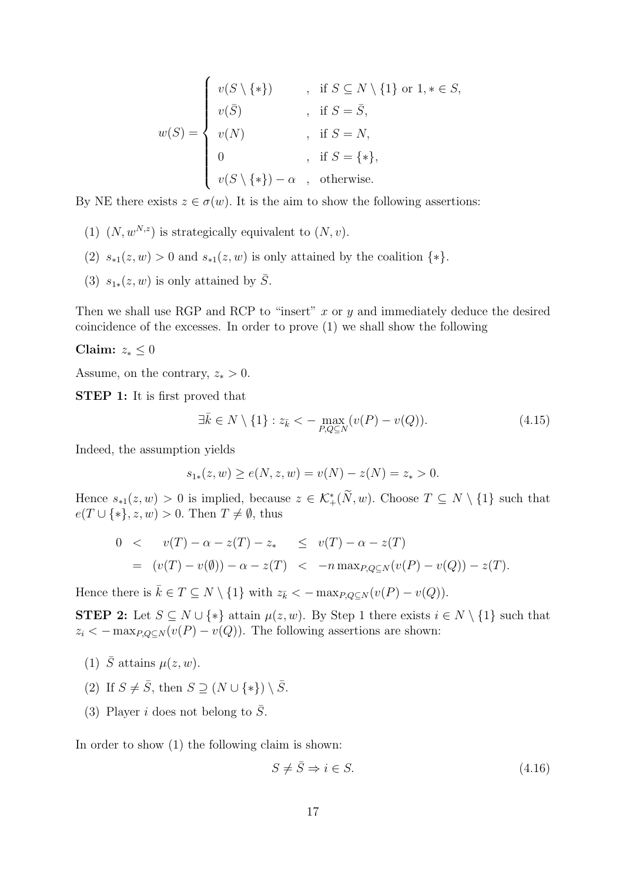$w(S) =$  $\sqrt{ }$  $\begin{array}{c} \hline \end{array}$  $\begin{array}{c} \hline \end{array}$  $v(S \setminus \{*\})$ , if  $S \subseteq N \setminus \{1\}$  or  $1, * \in S$ ,  $v(\bar{S})$ , if  $S = \bar{S}$ ,  $v(N)$ , if  $S = N$ , 0 , if  $S = \{*\},$  $v(S \setminus \{*\}) - \alpha$ , otherwise.

By NE there exists  $z \in \sigma(w)$ . It is the aim to show the following assertions:

- (1)  $(N, w^{N,z})$  is strategically equivalent to  $(N, v)$ .
- (2)  $s_{*1}(z, w) > 0$  and  $s_{*1}(z, w)$  is only attained by the coalition  $\{*\}.$
- (3)  $s_{1*}(z, w)$  is only attained by  $\overline{S}$ .

Then we shall use RGP and RCP to "insert"  $x$  or  $y$  and immediately deduce the desired coincidence of the excesses. In order to prove (1) we shall show the following

**Claim:**  $z_* \leq 0$ 

Assume, on the contrary,  $z_* > 0$ .

**STEP 1:** It is first proved that

$$
\exists \bar{k} \in N \setminus \{1\} : z_{\bar{k}} < -\max_{P,Q \subseteq N} (v(P) - v(Q)). \tag{4.15}
$$

Indeed, the assumption yields

$$
s_{1*}(z, w) \ge e(N, z, w) = v(N) - z(N) = z_* > 0.
$$

Hence  $s_{*1}(z, w) > 0$  is implied, because  $z \in \mathcal{K}^*_+(\tilde{N}, w)$ . Choose  $T \subseteq N \setminus \{1\}$  such that  $e(T + \mathcal{F}^*_\mathcal{K} \setminus \{1\}) > 0$ . Then  $T \neq \emptyset$  thus  $e(T \cup \{*\}, z, w) > 0$ . Then  $T \neq \emptyset$ , thus

$$
0 < v(T) - \alpha - z(T) - z_* \le v(T) - \alpha - z(T)
$$
  
=  $(v(T) - v(\emptyset)) - \alpha - z(T) < -n \max_{P,Q \subseteq N} (v(P) - v(Q)) - z(T).$ 

Hence there is  $\bar{k} \in T \subseteq N \setminus \{1\}$  with  $z_{\bar{k}} < -\max_{P,Q \subseteq N} (v(P) - v(Q)).$ 

**STEP 2:** Let  $S \subseteq N \cup \{*\}$  attain  $\mu(z, w)$ . By Step 1 there exists  $i \in N \setminus \{1\}$  such that  $z_i < -\max_{P,Q \subset N}(v(P) - v(Q)).$  The following assertions are shown:

- (1)  $\bar{S}$  attains  $\mu(z, w)$ .
- (2) If  $S \neq \overline{S}$ , then  $S \supseteq (N \cup \{*\}) \setminus \overline{S}$ .
- (3) Player *i* does not belong to  $\overline{S}$ .

In order to show (1) the following claim is shown:

$$
S \neq \bar{S} \Rightarrow i \in S. \tag{4.16}
$$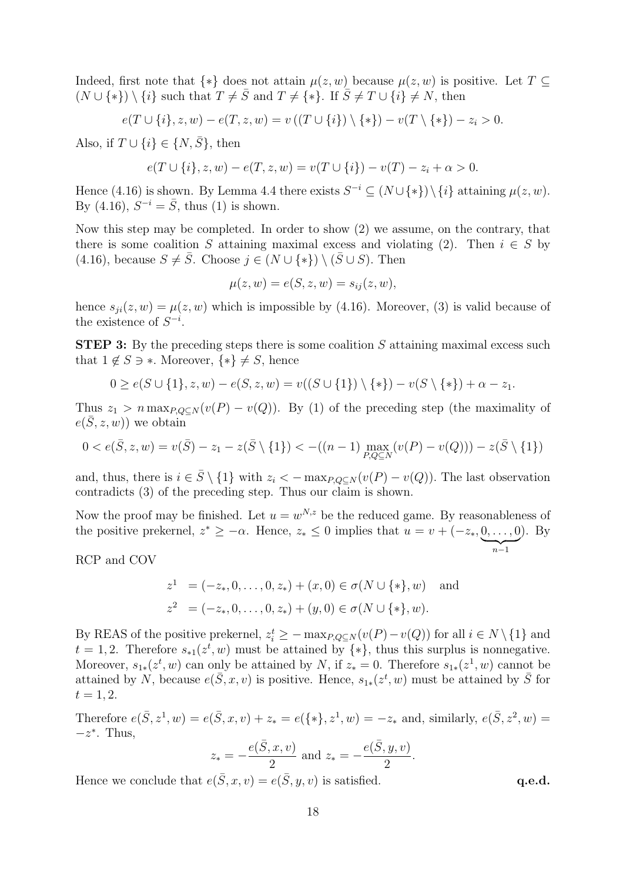Indeed, first note that  $\{*\}$  does not attain  $\mu(z, w)$  because  $\mu(z, w)$  is positive. Let  $T \subseteq$  $(N \cup \{*\}) \setminus \{i\}$  such that  $T \neq \overline{S}$  and  $T \neq \{*\}$ . If  $\overline{S} \neq T \cup \{i\} \neq N$ , then

$$
e(T \cup \{i\}, z, w) - e(T, z, w) = v((T \cup \{i\}) \setminus \{*\}) - v(T \setminus \{*\}) - z_i > 0.
$$

Also, if  $T \cup \{i\} \in \{N, \bar{S}\},\$  then

$$
e(T \cup \{i\}, z, w) - e(T, z, w) = v(T \cup \{i\}) - v(T) - z_i + \alpha > 0.
$$

Hence (4.16) is shown. By Lemma 4.4 there exists  $S^{-i} \subseteq (N \cup \{*\}) \setminus \{i\}$  attaining  $\mu(z, w)$ . By (4.16),  $S^{-i} = \overline{S}$ , thus (1) is shown.

Now this step may be completed. In order to show (2) we assume, on the contrary, that there is some coalition S attaining maximal excess and violating (2). Then  $i \in S$  by (4.16), because  $S \neq \overline{S}$ . Choose  $j \in (N \cup \{*\}) \setminus (\overline{S} \cup S)$ . Then

$$
\mu(z, w) = e(S, z, w) = s_{ij}(z, w),
$$

hence  $s_{ji}(z, w) = \mu(z, w)$  which is impossible by (4.16). Moreover, (3) is valid because of the existence of  $S^{-i}$ .

**STEP 3:** By the preceding steps there is some coalition S attaining maximal excess such that  $1 \notin S \ni *$ . Moreover,  $\{*\} \neq S$ , hence

$$
0 \ge e(S \cup \{1\}, z, w) - e(S, z, w) = v((S \cup \{1\}) \setminus \{*\}) - v(S \setminus \{*\}) + \alpha - z_1.
$$

Thus  $z_1 > n \max_{P,Q \subseteq N}(v(P) - v(Q))$ . By (1) of the preceding step (the maximality of  $e(\bar{S}, z, w)$  we obtain

$$
0 < e(\bar{S}, z, w) = v(\bar{S}) - z_1 - z(\bar{S} \setminus \{1\}) < -((n-1) \max_{P,Q \subseteq N} (v(P) - v(Q))) - z(\bar{S} \setminus \{1\})
$$

and, thus, there is  $i \in \overline{S} \setminus \{1\}$  with  $z_i < -\max_{P,Q \subset N}(v(P) - v(Q))$ . The last observation contradicts (3) of the preceding step. Thus our claim is shown.

Now the proof may be finished. Let  $u = w^{N,z}$  be the reduced game. By reasonableness of<br>the positive prekernal  $z^* \geq -\alpha$ . Hence  $z \leq 0$  implies that  $u = v + (-z, 0, 0)$ . By the positive prekernel,  $z^* \ge -\alpha$ . Hence,  $z_* \le 0$  implies that  $u = v + (-z_*, \underbrace{0, \ldots, 0}_{n-1})$ . By

RCP and COV

$$
z1 = (-z*, 0, ..., 0, z*) + (x, 0) \in \sigma(N \cup \{*\}, w)
$$
 and  

$$
z2 = (-z*, 0, ..., 0, z*) + (y, 0) \in \sigma(N \cup \{*\}, w).
$$

By REAS of the positive prekernel,  $z_i^t \ge -\max_{P,Q \subseteq N}(v(P) - v(Q))$  for all  $i \in N \setminus \{1\}$  and  $t = 1, 2$ . Therefore  $s_{-t}(z^t, w)$  must be attained by  $f * 1$ , thus this surplus is nonperative  $t = 1, 2$ . Therefore  $s_{*1}(z^t, w)$  must be attained by  $\{*\}$ , thus this surplus is nonnegative.<br>Moreover,  $s_{*}(z^t, w)$  can only be attained by N if  $z = 0$ . Therefore  $s_{*}(z^1, w)$  cannot be Moreover,  $s_{1*}(z^t, w)$  can only be attained by N, if  $z_* = 0$ . Therefore  $s_{1*}(z^1, w)$  cannot be attained by N, because  $e(\bar{S}x, w)$  is positive. Hence,  $s_{1*}(z^t, w)$  must be attained by  $\bar{S}$  for attained by N, because  $e(\bar{S}, x, v)$  is positive. Hence,  $s_{1*}(z^t, w)$  must be attained by  $\bar{S}$  for  $t-1, 2$  $t = 1, 2.$ 

Therefore  $e(\bar{S}, z^1, w) = e(\bar{S}, x, v) + z_* = e({*}, z^1, w) = -z_*$  and, similarly,  $e(\bar{S}, z^2, w) = z_*$  $-z^*$ . Thus,

$$
z_* = -\frac{e(\bar{S}, x, v)}{2}
$$
 and  $z_* = -\frac{e(\bar{S}, y, v)}{2}$ .

Hence we conclude that  $e(\bar{S}, x, v) = e(\bar{S}, y, v)$  is satisfied. **q.e.d.**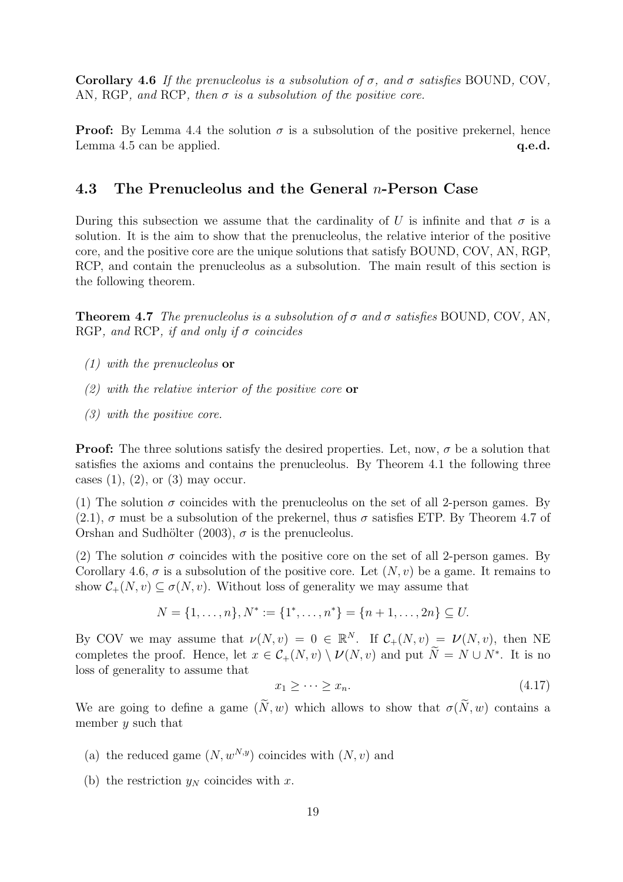**Corollary 4.6** If the prenucleolus is a subsolution of  $\sigma$ , and  $\sigma$  satisfies BOUND, COV, AN, RGP, and RCP, then  $\sigma$  is a subsolution of the positive core.

**Proof:** By Lemma 4.4 the solution  $\sigma$  is a subsolution of the positive prekernel, hence Lemma 4.5 can be applied.  $q.e.d.$ Lemma 4.5 can be applied.

### **4.3 The Prenucleolus and the General** n**-Person Case**

During this subsection we assume that the cardinality of U is infinite and that  $\sigma$  is a solution. It is the aim to show that the prenucleolus, the relative interior of the positive core, and the positive core are the unique solutions that satisfy BOUND, COV, AN, RGP, RCP, and contain the prenucleolus as a subsolution. The main result of this section is the following theorem.

**Theorem 4.7** The prenucleolus is a subsolution of  $\sigma$  and  $\sigma$  satisfies BOUND, COV, AN, RGP, and RCP, if and only if  $\sigma$  coincides

- (1) with the prenucleolus **or**
- (2) with the relative interior of the positive core **or**
- (3) with the positive core.

**Proof:** The three solutions satisfy the desired properties. Let, now,  $\sigma$  be a solution that satisfies the axioms and contains the prenucleolus. By Theorem 4.1 the following three cases  $(1)$ ,  $(2)$ , or  $(3)$  may occur.

(1) The solution  $\sigma$  coincides with the prenucleolus on the set of all 2-person games. By  $(2.1)$ ,  $\sigma$  must be a subsolution of the prekernel, thus  $\sigma$  satisfies ETP. By Theorem 4.7 of Orshan and Sudhölter (2003),  $\sigma$  is the prenucleolus.

(2) The solution  $\sigma$  coincides with the positive core on the set of all 2-person games. By Corollary 4.6,  $\sigma$  is a subsolution of the positive core. Let  $(N, v)$  be a game. It remains to show  $\mathcal{C}_+(N,v) \subseteq \sigma(N,v)$ . Without loss of generality we may assume that

$$
N = \{1, \ldots, n\}, N^* := \{1^*, \ldots, n^*\} = \{n+1, \ldots, 2n\} \subseteq U.
$$

By COV we may assume that  $\nu(N, v) = 0 \in \mathbb{R}^N$ . If  $C_+(N, v) = \nu(N, v)$ , then NE completes the proof. Hence, let  $x \in C_+(N, v) \setminus \nu(N, v)$  and put  $\widetilde{N} = N \cup N^*$ . It is no completes the proof. Hence, let  $x \in C_+(N,v) \setminus \nu(N,v)$  and put  $N = N \cup N^*$ . It is no loss of generality to assume that loss of generality to assume that

$$
x_1 \ge \cdots \ge x_n. \tag{4.17}
$$

We are going to define a game  $(N, w)$  which allows to show that  $\sigma(N, w)$  contains a member usuch that member y such that

- (a) the reduced game  $(N, w^{N,y})$  coincides with  $(N, v)$  and
- (b) the restriction  $y_N$  coincides with x.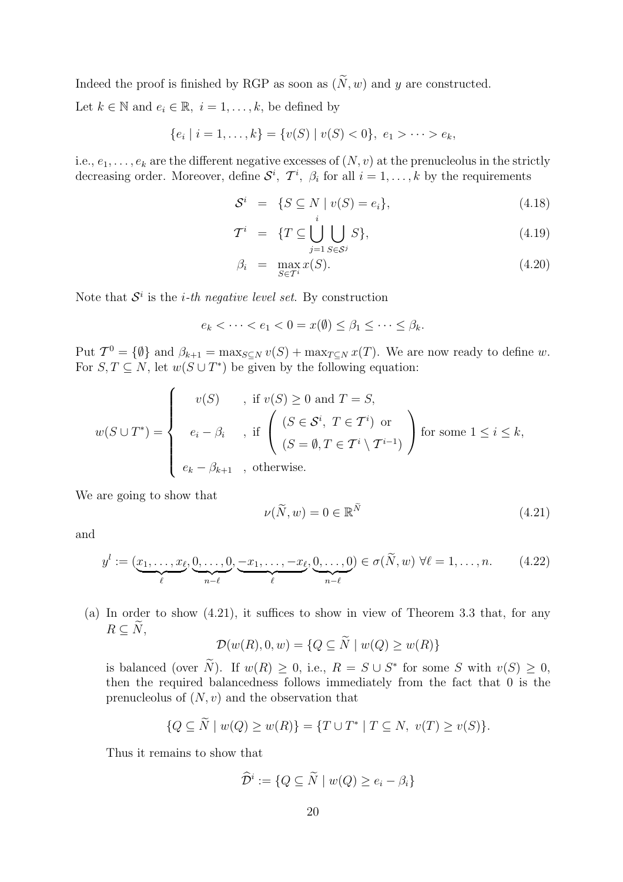Indeed the proof is finished by RGP as soon as  $(\tilde{N}, w)$  and y are constructed. Let  $k \in \mathbb{N}$  and  $e_i \in \mathbb{R}$ ,  $i = 1, \ldots, k$ , be defined by

$$
\{e_i \mid i = 1, \ldots, k\} = \{v(S) \mid v(S) < 0\}, \ e_1 > \cdots > e_k,
$$

i.e.,  $e_1, \ldots, e_k$  are the different negative excesses of  $(N, v)$  at the prenucleolus in the strictly decreasing order. Moreover, define  $S^i$ ,  $T^i$ ,  $\beta_i$  for all  $i = 1, ..., k$  by the requirements

$$
\mathcal{S}^i \quad = \quad \{ S \subseteq N \mid v(S) = e_i \}, \tag{4.18}
$$

$$
\mathcal{T}^i = \{ T \subseteq \bigcup_{j=1}^i \bigcup_{S \in \mathcal{S}^j} S \}, \tag{4.19}
$$

$$
\beta_i = \max_{S \in \mathcal{T}^i} x(S). \tag{4.20}
$$

Note that  $\mathcal{S}^i$  is the *i*-th negative level set. By construction

$$
e_k < \cdots < e_1 < 0 = x(\emptyset) \leq \beta_1 \leq \cdots \leq \beta_k.
$$

Put  $\mathcal{T}^0 = \{\emptyset\}$  and  $\beta_{k+1} = \max_{S \subseteq N} v(S) + \max_{T \subseteq N} x(T)$ . We are now ready to define w. For  $S, T \subseteq N$ , let  $w(S \cup T^*)$  be given by the following equation:

$$
w(S \cup T^*) = \begin{cases} v(S) & , \text{ if } v(S) \ge 0 \text{ and } T = S, \\ e_i - \beta_i & , \text{ if } \left( \begin{array}{c} (S \in S^i, T \in T^i) \text{ or } \\ (S = \emptyset, T \in T^i \setminus T^{i-1}) \end{array} \right) \text{ for some } 1 \le i \le k, \\ e_k - \beta_{k+1} & , \text{ otherwise.} \end{cases}
$$

We are going to show that

$$
\nu(\widetilde{N}, w) = 0 \in \mathbb{R}^N \tag{4.21}
$$

and

$$
y^{l} := (\underbrace{x_1, \dots, x_\ell}_{\ell}, \underbrace{0, \dots, 0}_{n-\ell}, \underbrace{-x_1, \dots, -x_\ell}_{\ell}, \underbrace{0, \dots, 0}_{n-\ell}) \in \sigma(\widetilde{N}, w) \ \forall \ell = 1, \dots, n. \tag{4.22}
$$

(a) In order to show (4.21), it suffices to show in view of Theorem 3.3 that, for any  $R \subseteq \widetilde{N}$ ,

$$
\mathcal{D}(w(R), 0, w) = \{Q \subseteq \widetilde{N} \mid w(Q) \ge w(R)\}\
$$

is balanced (over N). If  $w(R) \geq 0$ , i.e.,  $R = S \cup S^*$  for some S with  $v(S) \geq 0$ , then the required belancedness follows immediately from the fact that 0 is the then the required balancedness follows immediately from the fact that 0 is the prenucleolus of  $(N, v)$  and the observation that

$$
\{Q \subseteq \widetilde{N} \mid w(Q) \ge w(R)\} = \{T \cup T^* \mid T \subseteq N, v(T) \ge v(S)\}.
$$

Thus it remains to show that

$$
\widehat{\mathcal{D}}^i := \{ Q \subseteq \widetilde{N} \mid w(Q) \ge e_i - \beta_i \}
$$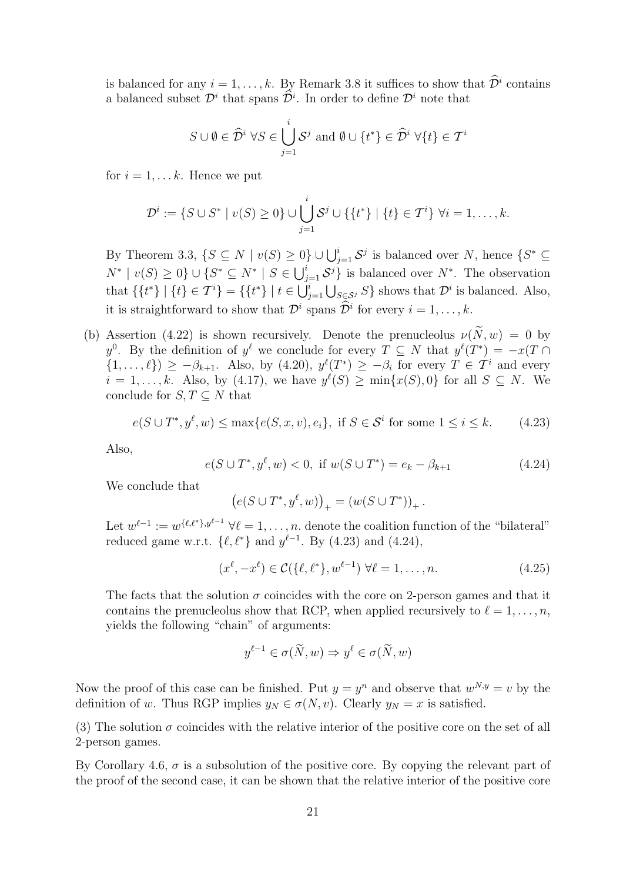is balanced for any  $i = 1, \ldots, k$ . By Remark 3.8 it suffices to show that  $\widehat{\mathcal{D}}^i$  contains a balanced subset  $\mathcal{D}^i$  that spans  $\widehat{\mathcal{D}}^i$ . In order to define  $\mathcal{D}^i$  note that

$$
S \cup \emptyset \in \widehat{\mathcal{D}}^i \ \forall S \in \bigcup_{j=1}^i \mathcal{S}^j \ \text{and} \ \emptyset \cup \{t^*\} \in \widehat{\mathcal{D}}^i \ \forall \{t\} \in \mathcal{T}^i
$$

for  $i = 1, \ldots k$ . Hence we put

$$
\mathcal{D}^i := \{ S \cup S^* \mid v(S) \ge 0 \} \cup \bigcup_{j=1}^i \mathcal{S}^j \cup \{ \{t^* \} \mid \{t\} \in \mathcal{T}^i \} \ \forall i = 1, \ldots, k.
$$

By Theorem 3.3,  $\{S \subseteq N \mid v(S) \geq 0\} \cup \bigcup_{j=1}^{i} S^{j}$  is balanced over N, hence  $\{S^* \subseteq N^* \mid (S) > 0\} \cup \{S^* \subseteq N^* \mid S \subseteq 1\}$  $N^* | v(S) \geq 0$   $\cup$   $\{S^* \subseteq N^* | S \in \bigcup_{j=1}^i S^j\}$  is balanced over  $N^*$ . The observation that  $\{\{t^*\} \mid \{t\} \in \mathcal{T}^i\} = \{\{t^*\} \mid t \in \bigcup_{j=1}^i \bigcup_{S \in \mathcal{S}^j} S\}$  shows that  $\mathcal{D}^i$  is balanced. Also, it is straightforward to show that  $\mathcal{D}^i$  spans  $\widehat{\mathcal{D}}^i$  for every  $i = 1, \ldots, k$ .

(b) Assertion (4.22) is shown recursively. Denote the prenucleolus  $\nu(\tilde{N},w) = 0$  by y<sup>0</sup>. By the definition of y<sup> $\ell$ </sup> we conclude for every  $T \subseteq N$  that  $y^{\ell}(T^*) = -x(T \cap$ <br>  $y^{\ell}(T^*) = -x(T \cap$  $\{(1,\ldots,\ell)\}\n\geq -\beta_{k+1}$ . Also, by  $(4.20)$ ,  $y^{\ell}(T^*)\n\geq -\beta_i$  for every  $T \in \mathcal{T}^i$  and every  $i-1$  is a by  $\Delta \log_{\ell} f(\ell)$  is  $\Delta \log_{\ell} f(\ell)$  if  $f(\ell)$  is  $\Delta \log_{\ell} f(\ell)$  $i = 1, \ldots, k$ . Also, by (4.17), we have  $y^{\ell}(S) \ge \min\{x(S), 0\}$  for all  $S \subseteq N$ . We conclude for  $S, T \subseteq N$  that conclude for  $S, T \subseteq N$  that

$$
e(S \cup T^*, y^\ell, w) \le \max\{e(S, x, v), e_i\}, \text{ if } S \in \mathcal{S}^i \text{ for some } 1 \le i \le k. \tag{4.23}
$$

Also,

$$
e(S \cup T^*, y^{\ell}, w) < 0, \text{ if } w(S \cup T^*) = e_k - \beta_{k+1} \tag{4.24}
$$

We conclude that

$$
(e(S \cup T^*, y^{\ell}, w))_+ = (w(S \cup T^*))_+.
$$

Let  $w^{\ell-1} := w^{\{\ell,\ell^*\},y^{\ell-1}} \forall \ell = 1,\ldots,n$  denote the coalition function of the "bilateral"<br>reduced game w r t  $\ell \ell^*\}$  and  $u^{\ell-1}$ . By  $(4.23)$  and  $(4.24)$ reduced game w.r.t.  $\{\ell, \ell^*\}$  and  $y^{\ell-1}$ . By (4.23) and (4.24),

$$
(x^{\ell}, -x^{\ell}) \in C(\{\ell, \ell^*\}, w^{\ell-1}) \,\forall \ell = 1, \dots, n. \tag{4.25}
$$

The facts that the solution  $\sigma$  coincides with the core on 2-person games and that it contains the prenucleolus show that RCP, when applied recursively to  $\ell = 1, \ldots, n$ , vields the following "chain" of arguments: yields the following "chain" of arguments:

$$
y^{\ell-1} \in \sigma(\widetilde{N}, w) \Rightarrow y^{\ell} \in \sigma(\widetilde{N}, w)
$$

Now the proof of this case can be finished. Put  $y = y^n$  and observe that  $w^{N,y} = v$  by the definition of w. Thus RGP implies  $y_N \in \sigma(N, v)$ . Clearly  $y_N = x$  is satisfied.

(3) The solution  $\sigma$  coincides with the relative interior of the positive core on the set of all 2-person games.

By Corollary 4.6,  $\sigma$  is a subsolution of the positive core. By copying the relevant part of the proof of the second case, it can be shown that the relative interior of the positive core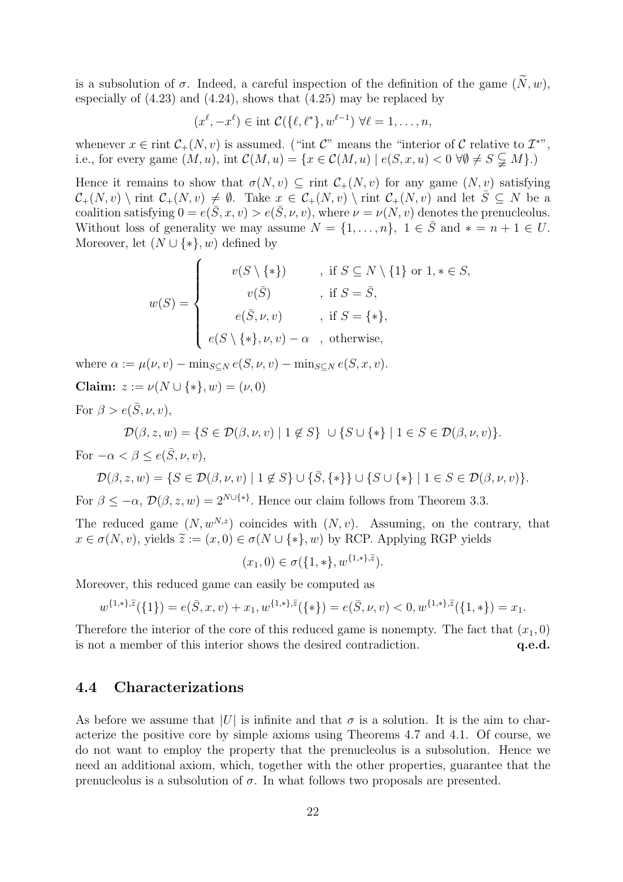is a subsolution of  $\sigma$ . Indeed, a careful inspection of the definition of the game  $(N, w)$ , especially of (4.23) and (4.24), shows that (4.25) may be replaced by

$$
(x^{\ell}, -x^{\ell}) \in \text{int } C(\{\ell, \ell^*\}, w^{\ell-1}) \ \forall \ell = 1, \ldots, n,
$$

whenever  $x \in \text{rint } C_+(N,v)$  is assumed. ("int  $\mathcal{C}$ " means the "interior of  $\mathcal{C}$  relative to  $\mathcal{I}^{**}$ , i.e., for every game  $(M, u)$ , int  $\mathcal{C}(M, u) = \{x \in \mathcal{C}(M, u) \mid e(S, x, u) < 0 \,\forall \emptyset \neq S \subsetneqq M\}$ .)

Hence it remains to show that  $\sigma(N, v) \subseteq \text{rint } C_+(N, v)$  for any game  $(N, v)$  satisfying  $\mathcal{C}_+(N,v) \setminus \text{rint } \mathcal{C}_+(N,v) \neq \emptyset$ . Take  $x \in \mathcal{C}_+(N,v) \setminus \text{rint } \mathcal{C}_+(N,v)$  and let  $\overline{S} \subseteq N$  be a coalition satisfying  $0 - e(\overline{S} x, v) \geq e(\overline{S} u, v)$  where  $u = u(N,v)$  denotes the prepudeolus coalition satisfying  $0 = e(\bar{S}, x, v) > e(\bar{S}, \nu, v)$ , where  $\nu = \nu(N, v)$  denotes the prenucleolus. Without loss of generality we may assume  $N = \{1, \ldots, n\}$ ,  $1 \in \overline{S}$  and  $* = n + 1 \in U$ . Moreover, let  $(N \cup \{*\}, w)$  defined by

$$
w(S) = \begin{cases} v(S \setminus \{*\}) & , \text{ if } S \subseteq N \setminus \{1\} \text{ or } 1, * \in S, \\ v(\bar{S}) & , \text{ if } S = \bar{S}, \\ e(\bar{S}, \nu, v) & , \text{ if } S = \{*\}, \\ e(S \setminus \{*\}, \nu, v) - \alpha & , \text{ otherwise}, \end{cases}
$$

where  $\alpha := \mu(\nu, v) - \min_{S \subseteq N} e(S, \nu, v) - \min_{S \subseteq N} e(S, x, v).$ 

**Claim:**  $z := \nu(N \cup \{*\}, w) = (\nu, 0)$ 

For  $\beta > e(\bar{S}, \nu, v)$ ,

 $\mathcal{D}(\beta, z, w) = \{ S \in \mathcal{D}(\beta, \nu, v) \mid 1 \notin S \} \cup \{ S \cup \{ * \} \mid 1 \in S \in \mathcal{D}(\beta, \nu, v) \}.$ 

For  $-\alpha < \beta < e(\bar{S}, \nu, v)$ .

$$
\mathcal{D}(\beta, z, w) = \{ S \in \mathcal{D}(\beta, \nu, v) \mid 1 \notin S \} \cup \{ \overline{S}, \{ * \} \} \cup \{ S \cup \{ * \} \mid 1 \in S \in \mathcal{D}(\beta, \nu, v) \}.
$$

For  $\beta \leq -\alpha$ ,  $\mathcal{D}(\beta, z, w)=2^{N\cup \{*\}}$ . Hence our claim follows from Theorem 3.3.

The reduced game  $(N, w^{N,z})$  coincides with  $(N, v)$ . Assuming, on the contrary, that  $x \in \sigma(N, v)$ , yields  $\widetilde{z} := (x, 0) \in \sigma(N \cup \{*\}, w)$  by RCP. Applying RGP yields

$$
(x_1,0) \in \sigma({1,*},w^{{1,*}\},\tilde{z}).
$$

Moreover, this reduced game can easily be computed as

$$
w^{\{1,\ast\},\tilde{z}}(\{1\})=e(\bar{S},x,v)+x_1,w^{\{1,\ast\},\tilde{z}}(\{*\})=e(\bar{S},\nu,v)<0,w^{\{1,\ast\},\tilde{z}}(\{1,\ast\})=x_1.
$$

Therefore the interior of the core of this reduced game is nonempty. The fact that  $(x_1, 0)$  is not a member of this interior shows the desired contradiction. **q.e.d.** is not a member of this interior shows the desired contradiction.

#### **4.4 Characterizations**

As before we assume that |U| is infinite and that  $\sigma$  is a solution. It is the aim to characterize the positive core by simple axioms using Theorems 4.7 and 4.1. Of course, we do not want to employ the property that the prenucleolus is a subsolution. Hence we need an additional axiom, which, together with the other properties, guarantee that the prenucleolus is a subsolution of  $\sigma$ . In what follows two proposals are presented.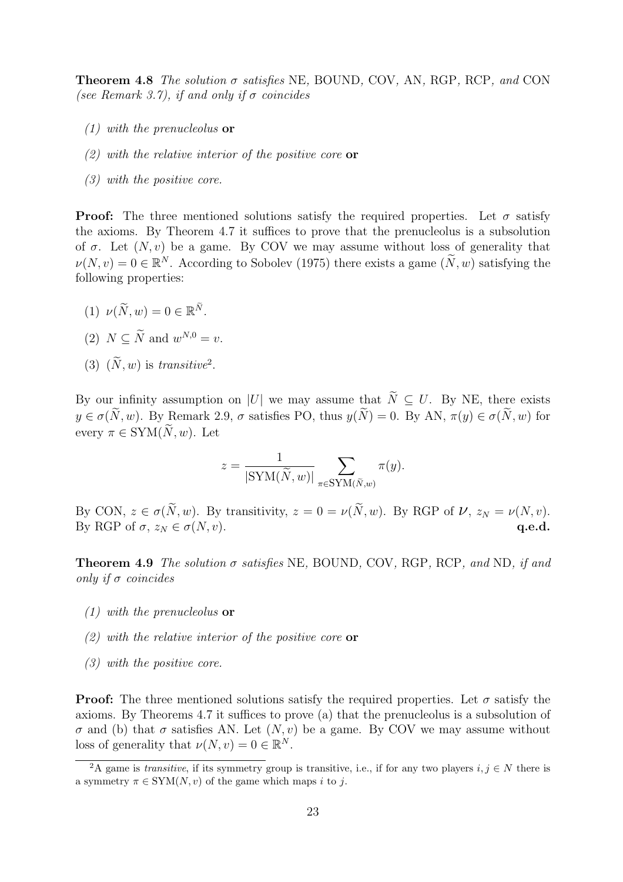**Theorem 4.8** The solution  $\sigma$  satisfies NE, BOUND, COV, AN, RGP, RCP, and CON (see Remark 3.7), if and only if  $\sigma$  coincides

- (1) with the prenucleolus **or**
- (2) with the relative interior of the positive core **or**
- (3) with the positive core.

**Proof:** The three mentioned solutions satisfy the required properties. Let  $\sigma$  satisfy the axioms. By Theorem 4.7 it suffices to prove that the prenucleolus is a subsolution of  $\sigma$ . Let  $(N, v)$  be a game. By COV we may assume without loss of generality that  $\nu(N,v)=0 \in \mathbb{R}^N$ . According to Sobolev (1975) there exists a game  $(\widetilde{N},w)$  satisfying the following properties:

- (1)  $\nu(N, w) = 0 \in \mathbb{R}^N$ .
- (2)  $N \subseteq \widetilde{N}$  and  $w^{N,0} = v$ .
- (3)  $(\widetilde{N}, w)$  is transitive<sup>2</sup>.

By our infinity assumption on |U| we may assume that  $\widetilde{N} \subseteq U$ . By NE, there exists  $y \in \sigma(\tilde{N}, w)$ . By Remark 2.9,  $\sigma$  satisfies PO, thus  $y(\tilde{N}) = 0$ . By AN,  $\pi(y) \in \sigma(\tilde{N}, w)$  for every  $\pi \in \text{SYM}(\widetilde{N},w)$ . Let

$$
z = \frac{1}{|\text{SYM}(\widetilde{N}, w)|} \sum_{\pi \in \text{SYM}(\widetilde{N}, w)} \pi(y).
$$

By CON,  $z \in \sigma(\tilde{N}, w)$ . By transitivity,  $z = 0 = \nu(\tilde{N}, w)$ . By RGP of  $\nu$ ,  $z_N = \nu(N, v)$ .<br>By RGP of  $\sigma$ ,  $z_N \in \sigma(N, v)$ . By RGP of  $\sigma$ ,  $z_N \in \sigma(N, v)$ .

**Theorem 4.9** The solution  $\sigma$  satisfies NE, BOUND, COV, RGP, RCP, and ND, if and only if  $\sigma$  coincides

- (1) with the prenucleolus **or**
- (2) with the relative interior of the positive core **or**
- (3) with the positive core.

**Proof:** The three mentioned solutions satisfy the required properties. Let  $\sigma$  satisfy the axioms. By Theorems 4.7 it suffices to prove (a) that the prenucleolus is a subsolution of  $\sigma$  and (b) that  $\sigma$  satisfies AN. Let  $(N, v)$  be a game. By COV we may assume without loss of generality that  $\nu(N, v) = 0 \in \mathbb{R}^N$ .

<sup>&</sup>lt;sup>2</sup>A game is transitive, if its symmetry group is transitive, i.e., if for any two players  $i, j \in N$  there is a symmetry  $\pi \in \text{SYM}(N, v)$  of the game which maps i to j.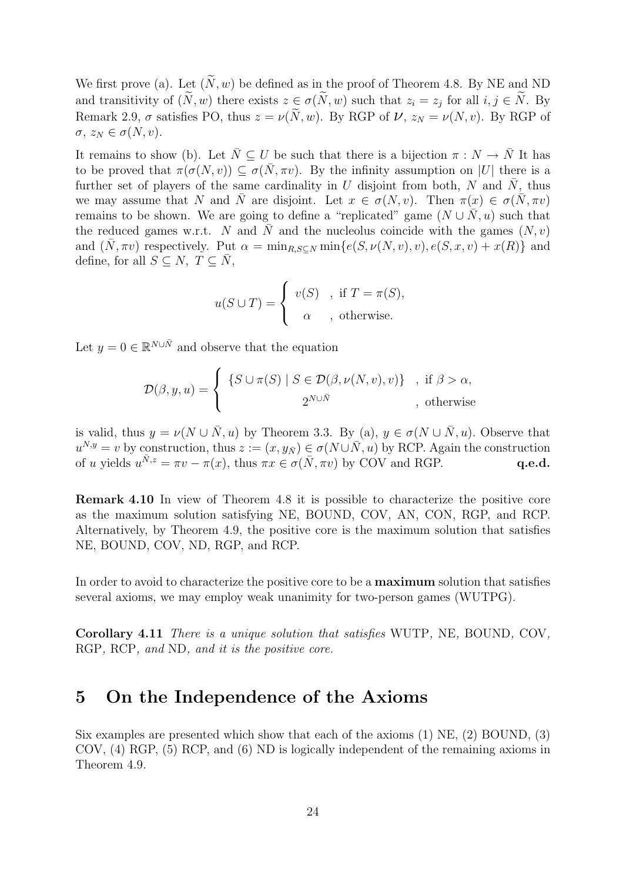We first prove (a). Let  $(\tilde{N},w)$  be defined as in the proof of Theorem 4.8. By NE and ND and transitivity of  $(\tilde{N},w)$  there exists  $z \in \sigma(\tilde{N},w)$  such that  $z_i = z_j$  for all  $i, j \in \tilde{N}$ . By Remark 2.9,  $\sigma$  satisfies PO, thus  $z = \nu(\tilde{N}, w)$ . By RGP of  $\nu$ ,  $z_N = \nu(N, v)$ . By RGP of  $\sigma, z_N \in \sigma(N, v).$ 

It remains to show (b). Let  $\bar{N} \subseteq U$  be such that there is a bijection  $\pi : N \to \bar{N}$  It has to be proved that  $\pi(\sigma(N,v)) \subseteq \sigma(\bar{N}, \pi v)$ . By the infinity assumption on |U| there is a further set of players of the same cardinality in U disjoint from both, N and  $\bar{N}$ , thus we may assume that N and  $\overline{N}$  are disjoint. Let  $x \in \sigma(N, v)$ . Then  $\pi(x) \in \sigma(\overline{N}, \pi v)$ remains to be shown. We are going to define a "replicated" game  $(N \cup N, u)$  such that the reduced games w.r.t. N and N and the nucleolus coincide with the games  $(N, v)$ and  $(\bar{N}, \pi v)$  respectively. Put  $\alpha = \min_{R,S\subseteq N} \min\{e(S, \nu(N, v), v), e(S, x, v) + x(R)\}\$ and define, for all  $S \subseteq N$ ,  $T \subseteq N$ ,

$$
u(S \cup T) = \begin{cases} v(S) , & \text{if } T = \pi(S), \\ \alpha , & \text{otherwise.} \end{cases}
$$

Let  $y = 0 \in \mathbb{R}^{N \cup \bar{N}}$  and observe that the equation

$$
\mathcal{D}(\beta, y, u) = \begin{cases} \{ S \cup \pi(S) \mid S \in \mathcal{D}(\beta, \nu(N, v), v) \} , & \text{if } \beta > \alpha, \\ 2^{N \cup \bar{N}} , & \text{otherwise} \end{cases}
$$

is valid, thus  $y = \nu(N \cup \overline{N}, u)$  by Theorem 3.3. By (a),  $y \in \sigma(N \cup \overline{N}, u)$ . Observe that  $u^{N,y} = v$  by construction, thus  $z := (x, y_{\overline{N}}) \in \sigma(N \cup \overline{N}, u)$  by RCP. Again the construction of u yields  $u^{\overline{N}, z} = \pi v - \pi(x)$ , thus  $\pi x \in \sigma(\overline{N}, \pi v)$  by COV and RGP. q.e.d. of u yields  $u^{\bar{N},z} = \pi v - \pi(x)$ , thus  $\pi x \in \sigma(\bar{N}, \pi v)$  by COV and RGP.

**Remark 4.10** In view of Theorem 4.8 it is possible to characterize the positive core as the maximum solution satisfying NE, BOUND, COV, AN, CON, RGP, and RCP. Alternatively, by Theorem 4.9, the positive core is the maximum solution that satisfies NE, BOUND, COV, ND, RGP, and RCP.

In order to avoid to characterize the positive core to be a **maximum** solution that satisfies several axioms, we may employ weak unanimity for two-person games (WUTPG).

**Corollary 4.11** There is a unique solution that satisfies WUTP, NE, BOUND, COV, RGP, RCP, and ND, and it is the positive core.

## **5 On the Independence of the Axioms**

Six examples are presented which show that each of the axioms (1) NE, (2) BOUND, (3) COV, (4) RGP, (5) RCP, and (6) ND is logically independent of the remaining axioms in Theorem 4.9.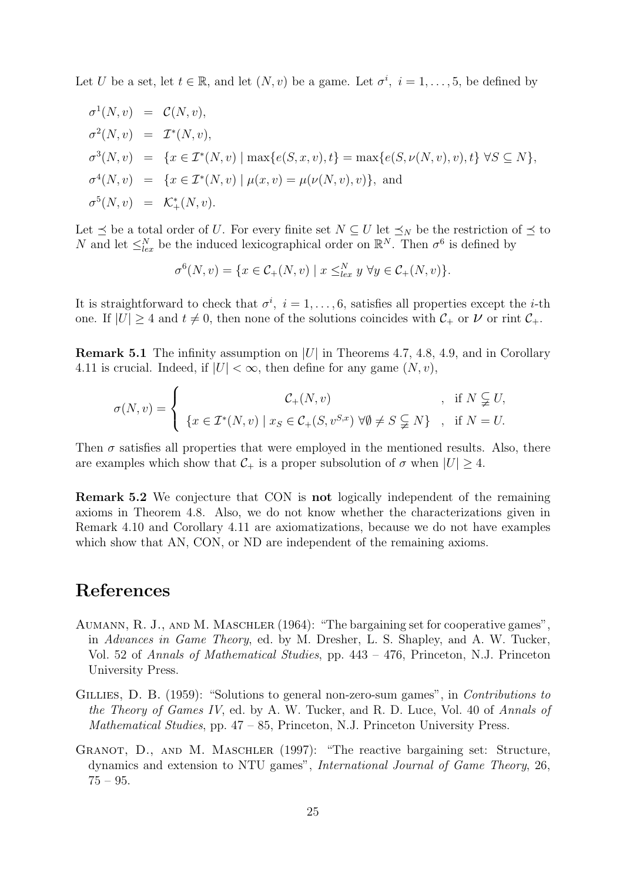Let U be a set, let  $t \in \mathbb{R}$ , and let  $(N, v)$  be a game. Let  $\sigma^i$ ,  $i = 1, \ldots, 5$ , be defined by

$$
\sigma^{1}(N, v) = C(N, v),
$$
  
\n
$$
\sigma^{2}(N, v) = T^{*}(N, v),
$$
  
\n
$$
\sigma^{3}(N, v) = \{x \in T^{*}(N, v) \mid \max\{e(S, x, v), t\} = \max\{e(S, \nu(N, v), v), t\} \forall S \subseteq N\},
$$
  
\n
$$
\sigma^{4}(N, v) = \{x \in T^{*}(N, v) \mid \mu(x, v) = \mu(\nu(N, v), v)\},
$$
 and  
\n
$$
\sigma^{5}(N, v) = \mathcal{K}^{*}_{+}(N, v).
$$

Let  $\preceq$  be a total order of U. For every finite set  $N \subseteq U$  let  $\preceq_N$  be the restriction of  $\preceq$  to N and let  $\leq_{lex}^N$  be the induced lexicographical order on  $\mathbb{R}^N$ . Then  $\sigma^6$  is defined by

$$
\sigma^{6}(N,v) = \{ x \in C_{+}(N,v) \mid x \leq_{lex}^{N} y \ \forall y \in C_{+}(N,v) \}.
$$

It is straightforward to check that  $\sigma^i$ ,  $i = 1, ..., 6$ , satisfies all properties except the *i*-th one. If  $|I| > 4$  and  $t \neq 0$ , then none of the solutions coincides with  $C_{\epsilon}$  or  $U$  or rint  $C_{\epsilon}$ . one. If  $|U| \ge 4$  and  $t \ne 0$ , then none of the solutions coincides with  $C_+$  or  $V$  or rint  $C_+$ .

**Remark 5.1** The infinity assumption on  $|U|$  in Theorems 4.7, 4.8, 4.9, and in Corollary 4.11 is crucial. Indeed, if  $|U| < \infty$ , then define for any game  $(N, v)$ ,

$$
\sigma(N, v) = \begin{cases}\n\mathcal{C}_+(N, v) & , \text{ if } N \subsetneq U, \\
\{x \in \mathcal{I}^*(N, v) \mid x_S \in \mathcal{C}_+(S, v^{S, x}) \ \forall \emptyset \neq S \subsetneq N\}, & , \text{ if } N = U.\n\end{cases}
$$

Then  $\sigma$  satisfies all properties that were employed in the mentioned results. Also, there are examples which show that  $C_+$  is a proper subsolution of  $\sigma$  when  $|U| \geq 4$ .

**Remark 5.2** We conjecture that CON is **not** logically independent of the remaining axioms in Theorem 4.8. Also, we do not know whether the characterizations given in Remark 4.10 and Corollary 4.11 are axiomatizations, because we do not have examples which show that AN, CON, or ND are independent of the remaining axioms.

### **References**

- AUMANN, R. J., AND M. MASCHLER (1964): "The bargaining set for cooperative games", in Advances in Game Theory, ed. by M. Dresher, L. S. Shapley, and A. W. Tucker, Vol. 52 of Annals of Mathematical Studies, pp. 443 – 476, Princeton, N.J. Princeton University Press.
- GILLIES, D. B. (1959): "Solutions to general non-zero-sum games", in Contributions to the Theory of Games IV, ed. by A. W. Tucker, and R. D. Luce, Vol. 40 of Annals of Mathematical Studies, pp. 47 – 85, Princeton, N.J. Princeton University Press.
- GRANOT, D., AND M. MASCHLER (1997): "The reactive bargaining set: Structure, dynamics and extension to NTU games", International Journal of Game Theory, 26, 75 – 95.